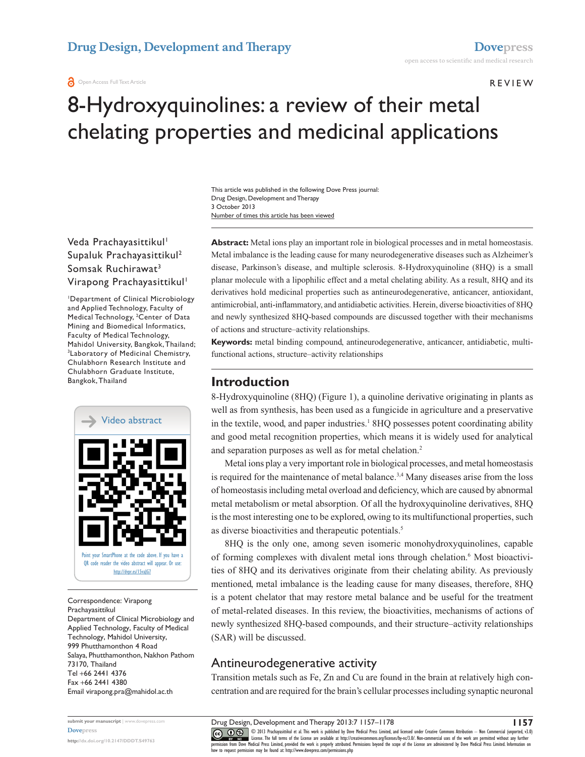#### **O** Open Access Full Text Article

### Review

# 8-Hydroxyquinolines: a review of their metal chelating properties and medicinal applications

Number of times this article has been viewed This article was published in the following Dove Press journal: Drug Design, Development and Therapy 3 October 2013

Veda Prachayasittikul<sup>1</sup> Supaluk Prachayasittikul2 Somsak Ruchirawat3 Virapong Prachayasittikul<sup>1</sup>

1 Department of Clinical Microbiology and Applied Technology, Faculty of Medical Technology, 2 Center of Data Mining and Biomedical Informatics, Faculty of Medical Technology, Mahidol University, Bangkok, Thailand; 3 Laboratory of Medicinal Chemistry, Chulabhorn Research Institute and Chulabhorn Graduate Institute, Bangkok, Thailand



Correspondence: Virapong Prachayasittikul Department of Clinical Microbiology and Applied Technology, Faculty of Medical Technology, Mahidol University, 999 Phutthamonthon 4 Road Salaya, Phutthamonthon, Nakhon Pathom 73170, Thailand Tel +66 2441 4376 Fax +66 2441 4380 Email [virapong.pra@mahidol.ac.th](mailto:virapong.pra@mahidol.ac.th)

**Abstract:** Metal ions play an important role in biological processes and in metal homeostasis. Metal imbalance is the leading cause for many neurodegenerative diseases such as Alzheimer's disease, Parkinson's disease, and multiple sclerosis. 8-Hydroxyquinoline (8HQ) is a small planar molecule with a lipophilic effect and a metal chelating ability. As a result, 8HQ and its derivatives hold medicinal properties such as antineurodegenerative, anticancer, antioxidant, antimicrobial, anti-inflammatory, and antidiabetic activities. Herein, diverse bioactivities of 8HQ and newly synthesized 8HQ-based compounds are discussed together with their mechanisms of actions and structure–activity relationships.

**Keywords:** metal binding compound, antineurodegenerative, anticancer, antidiabetic, multifunctional actions, structure–activity relationships

### **Introduction**

8-Hydroxyquinoline (8HQ) (Figure 1), a quinoline derivative originating in plants as well as from synthesis, has been used as a fungicide in agriculture and a preservative in the textile, wood, and paper industries.<sup>1</sup> 8HQ possesses potent coordinating ability and good metal recognition properties, which means it is widely used for analytical and separation purposes as well as for metal chelation.2

Metal ions play a very important role in biological processes, and metal homeostasis is required for the maintenance of metal balance.<sup>3,4</sup> Many diseases arise from the loss of homeostasis including metal overload and deficiency, which are caused by abnormal metal metabolism or metal absorption. Of all the hydroxyquinoline derivatives, 8HQ is the most interesting one to be explored, owing to its multifunctional properties, such as diverse bioactivities and therapeutic potentials.<sup>5</sup>

8HQ is the only one, among seven isomeric monohydroxyquinolines, capable of forming complexes with divalent metal ions through chelation.<sup>6</sup> Most bioactivities of 8HQ and its derivatives originate from their chelating ability. As previously mentioned, metal imbalance is the leading cause for many diseases, therefore, 8HQ is a potent chelator that may restore metal balance and be useful for the treatment of metal-related diseases. In this review, the bioactivities, mechanisms of actions of newly synthesized 8HQ-based compounds, and their structure–activity relationships (SAR) will be discussed.

# Antineurodegenerative activity

Transition metals such as Fe, Zn and Cu are found in the brain at relatively high concentration and are required for the brain's cellular processes including synaptic neuronal

CO ODI3 Prachayasittikul et al. This work is published by Dove Medical Press Limited, and licensed under Creative Commons Attribution - Non Commercial (unported, v3.0)<br> [permission from Dove M](http://www.dovepress.com/permissions.php)edical Press Limited, provided how to request permission may be found at: http://www.dovepress.com/permissions.php

**submit your manuscript** | <www.dovepress.com> **[Dovepress](www.dovepress.com)**

**<http://dx.doi.org/10.2147/DDDT.S49763>**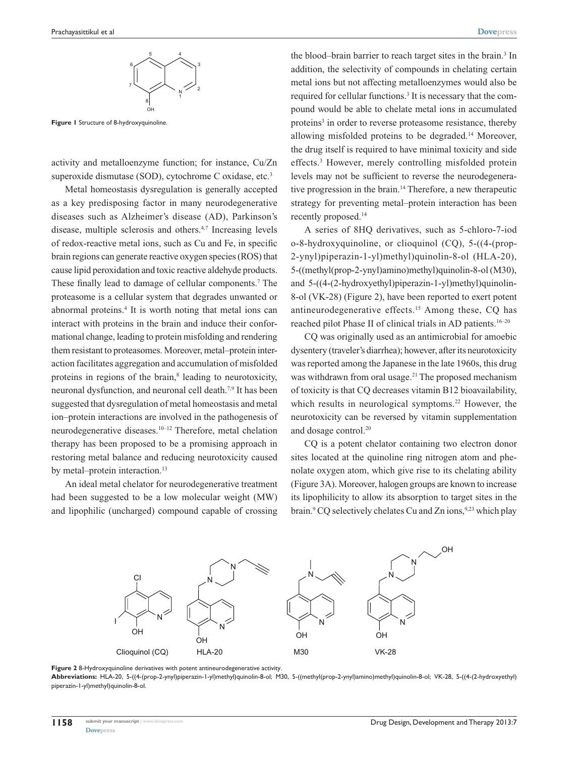

**Figure 1** Structure of 8-hydroxyquinoline.

activity and metalloenzyme function; for instance, Cu/Zn superoxide dismutase (SOD), cytochrome C oxidase, etc.<sup>3</sup>

Metal homeostasis dysregulation is generally accepted as a key predisposing factor in many neurodegenerative diseases such as Alzheimer's disease (AD), Parkinson's disease, multiple sclerosis and others.4,7 Increasing levels of redox-reactive metal ions, such as Cu and Fe, in specific brain regions can generate reactive oxygen species (ROS) that cause lipid peroxidation and toxic reactive aldehyde products. These finally lead to damage of cellular components.<sup>7</sup> The proteasome is a cellular system that degrades unwanted or abnormal proteins.<sup>4</sup> It is worth noting that metal ions can interact with proteins in the brain and induce their conformational change, leading to protein misfolding and rendering them resistant to proteasomes. Moreover, metal–protein interaction facilitates aggregation and accumulation of misfolded proteins in regions of the brain,<sup>8</sup> leading to neurotoxicity, neuronal dysfunction, and neuronal cell death.7,9 It has been suggested that dysregulation of metal homeostasis and metal ion–protein interactions are involved in the pathogenesis of neurodegenerative diseases.10–12 Therefore, metal chelation therapy has been proposed to be a promising approach in restoring metal balance and reducing neurotoxicity caused by metal–protein interaction.<sup>13</sup>

An ideal metal chelator for neurodegenerative treatment had been suggested to be a low molecular weight (MW) and lipophilic (uncharged) compound capable of crossing

the blood–brain barrier to reach target sites in the brain.<sup>3</sup> In addition, the selectivity of compounds in chelating certain metal ions but not affecting metalloenzymes would also be required for cellular functions.<sup>3</sup> It is necessary that the compound would be able to chelate metal ions in accumulated proteins<sup>3</sup> in order to reverse proteasome resistance, thereby allowing misfolded proteins to be degraded.14 Moreover, the drug itself is required to have minimal toxicity and side effects.3 However, merely controlling misfolded protein levels may not be sufficient to reverse the neurodegenerative progression in the brain.<sup>14</sup> Therefore, a new therapeutic strategy for preventing metal–protein interaction has been recently proposed.14

A series of 8HQ derivatives, such as 5-chloro-7-iod o-8-hydroxyquinoline, or clioquinol (CQ), 5-((4-(prop-2-ynyl)piperazin-1-yl)methyl)quinolin-8-ol (HLA-20), 5-((methyl(prop-2-ynyl)amino)methyl)quinolin-8-ol (M30), and 5-((4-(2-hydroxyethyl)piperazin-1-yl)methyl)quinolin-8-ol (VK-28) (Figure 2), have been reported to exert potent antineurodegenerative effects.15 Among these, CQ has reached pilot Phase II of clinical trials in AD patients.16–20

CQ was originally used as an antimicrobial for amoebic dysentery (traveler's diarrhea); however, after its neurotoxicity was reported among the Japanese in the late 1960s, this drug was withdrawn from oral usage.<sup>21</sup> The proposed mechanism of toxicity is that CQ decreases vitamin B12 bioavailability, which results in neurological symptoms.<sup>22</sup> However, the neurotoxicity can be reversed by vitamin supplementation and dosage control.<sup>20</sup>

CQ is a potent chelator containing two electron donor sites located at the quinoline ring nitrogen atom and phenolate oxygen atom, which give rise to its chelating ability (Figure 3A). Moreover, halogen groups are known to increase its lipophilicity to allow its absorption to target sites in the brain.<sup>9</sup> CQ selectively chelates Cu and Zn ions,<sup>9,23</sup> which play



**Figure 2** 8-Hydroxyquinoline derivatives with potent antineurodegenerative activity.

**Abbreviations:** HLA-20, 5-((4-(prop-2-ynyl)piperazin-1-yl)methyl)quinolin-8-ol; M30, 5-((methyl(prop-2-ynyl)amino)methyl)quinolin-8-ol; VK-28, 5-((4-(2-hydroxyethyl) piperazin-1-yl)methyl)quinolin-8-ol.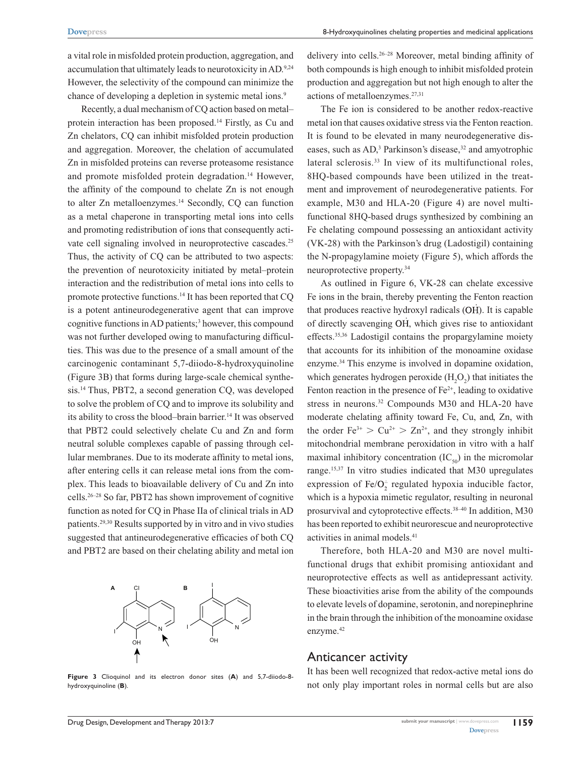8-Hydroxyquinolines chelating properties and medicinal applications

a vital role in misfolded protein production, aggregation, and accumulation that ultimately leads to neurotoxicity in AD.<sup>9,24</sup> However, the selectivity of the compound can minimize the chance of developing a depletion in systemic metal ions.<sup>9</sup>

Recently, a dual mechanism of CQ action based on metal– protein interaction has been proposed.14 Firstly, as Cu and Zn chelators, CQ can inhibit misfolded protein production and aggregation. Moreover, the chelation of accumulated Zn in misfolded proteins can reverse proteasome resistance and promote misfolded protein degradation.<sup>14</sup> However, the affinity of the compound to chelate Zn is not enough to alter Zn metalloenzymes.<sup>14</sup> Secondly, CQ can function as a metal chaperone in transporting metal ions into cells and promoting redistribution of ions that consequently activate cell signaling involved in neuroprotective cascades.<sup>25</sup> Thus, the activity of CQ can be attributed to two aspects: the prevention of neurotoxicity initiated by metal–protein interaction and the redistribution of metal ions into cells to promote protective functions.14 It has been reported that CQ is a potent antineurodegenerative agent that can improve cognitive functions in AD patients;<sup>3</sup> however, this compound was not further developed owing to manufacturing difficulties. This was due to the presence of a small amount of the carcinogenic contaminant 5,7-diiodo-8-hydroxyquinoline (Figure 3B) that forms during large-scale chemical synthesis.14 Thus, PBT2, a second generation CQ, was developed to solve the problem of CQ and to improve its solubility and its ability to cross the blood–brain barrier.<sup>14</sup> It was observed that PBT2 could selectively chelate Cu and Zn and form neutral soluble complexes capable of passing through cellular membranes. Due to its moderate affinity to metal ions, after entering cells it can release metal ions from the complex. This leads to bioavailable delivery of Cu and Zn into cells.26–28 So far, PBT2 has shown improvement of cognitive function as noted for CQ in Phase IIa of clinical trials in AD patients.29,30 Results supported by in vitro and in vivo studies suggested that antineurodegenerative efficacies of both CQ and PBT2 are based on their chelating ability and metal ion



**Figure 3** Clioquinol and its electron donor sites (**A**) and 5,7-diiodo-8 hydroxyquinoline (**B**).

delivery into cells.26–28 Moreover, metal binding affinity of both compounds is high enough to inhibit misfolded protein production and aggregation but not high enough to alter the actions of metalloenzymes.27,31

The Fe ion is considered to be another redox-reactive metal ion that causes oxidative stress via the Fenton reaction. It is found to be elevated in many neurodegenerative diseases, such as AD,<sup>3</sup> Parkinson's disease,<sup>32</sup> and amyotrophic lateral sclerosis.<sup>33</sup> In view of its multifunctional roles, 8HQ-based compounds have been utilized in the treatment and improvement of neurodegenerative patients. For example, M30 and HLA-20 (Figure 4) are novel multifunctional 8HQ-based drugs synthesized by combining an Fe chelating compound possessing an antioxidant activity (VK-28) with the Parkinson's drug (Ladostigil) containing the N-propagylamine moiety (Figure 5), which affords the neuroprotective property.34

As outlined in Figure 6, VK-28 can chelate excessive Fe ions in the brain, thereby preventing the Fenton reaction that produces reactive hydroxyl radicals (OH). It is capable of directly scavenging OH, which gives rise to antioxidant effects.35,36 Ladostigil contains the propargylamine moiety that accounts for its inhibition of the monoamine oxidase enzyme.34 This enzyme is involved in dopamine oxidation, which generates hydrogen peroxide  $(H_2O_2)$  that initiates the Fenton reaction in the presence of  $Fe<sup>2+</sup>$ , leading to oxidative stress in neurons.<sup>32</sup> Compounds M30 and HLA-20 have moderate chelating affinity toward Fe, Cu, and, Zn, with the order  $Fe^{3+} > Cu^{2+} > Zn^{2+}$ , and they strongly inhibit mitochondrial membrane peroxidation in vitro with a half maximal inhibitory concentration  $(IC_{50})$  in the micromolar range.15,37 In vitro studies indicated that M30 upregulates expression of  $Fe/O<sub>2</sub>$  regulated hypoxia inducible factor, which is a hypoxia mimetic regulator, resulting in neuronal prosurvival and cytoprotective effects.38–40 In addition, M30 has been reported to exhibit neurorescue and neuroprotective activities in animal models.<sup>41</sup>

Therefore, both HLA-20 and M30 are novel multifunctional drugs that exhibit promising antioxidant and neuroprotective effects as well as antidepressant activity. These bioactivities arise from the ability of the compounds to elevate levels of dopamine, serotonin, and norepinephrine in the brain through the inhibition of the monoamine oxidase enzyme.<sup>42</sup>

### Anticancer activity

It has been well recognized that redox-active metal ions do not only play important roles in normal cells but are also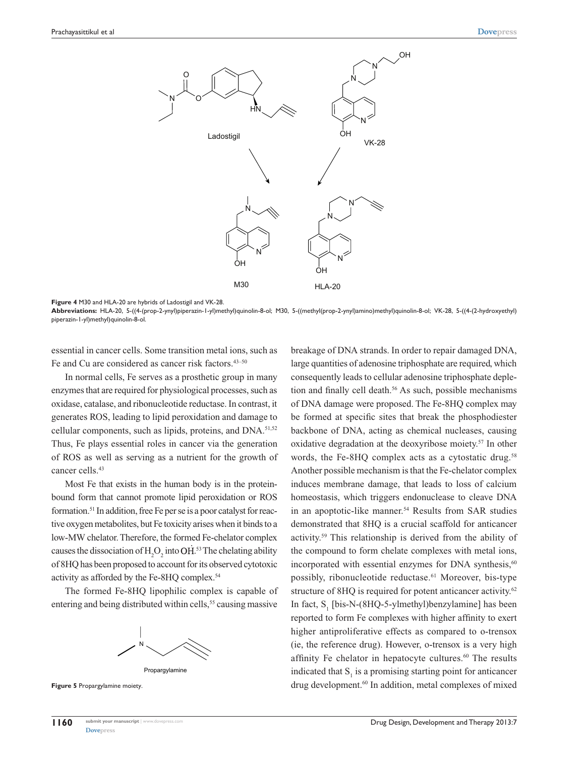

**Figure 4** M30 and HLA-20 are hybrids of Ladostigil and VK-28.

**Abbreviations:** HLA-20, 5-((4-(prop-2-ynyl)piperazin-1-yl)methyl)quinolin-8-ol; M30, 5-((methyl(prop-2-ynyl)amino)methyl)quinolin-8-ol; VK-28, 5-((4-(2-hydroxyethyl) piperazin-1-yl)methyl)quinolin-8-ol.

essential in cancer cells. Some transition metal ions, such as Fe and Cu are considered as cancer risk factors.<sup>43-50</sup>

In normal cells, Fe serves as a prosthetic group in many enzymes that are required for physiological processes, such as oxidase, catalase, and ribonucleotide reductase. In contrast, it generates ROS, leading to lipid peroxidation and damage to cellular components, such as lipids, proteins, and DNA.<sup>51,52</sup> Thus, Fe plays essential roles in cancer via the generation of ROS as well as serving as a nutrient for the growth of cancer cells.<sup>43</sup>

Most Fe that exists in the human body is in the proteinbound form that cannot promote lipid peroxidation or ROS formation.51 In addition, free Fe per se is a poor catalyst for reactive oxygen metabolites, but Fe toxicity arises when it binds to a low-MW chelator. Therefore, the formed Fe-chelator complex causes the dissociation of  $H_2O_2$  into OH.<sup>53</sup> The chelating ability of 8HQ has been proposed to account for its observed cytotoxic activity as afforded by the Fe-8HQ complex.54

The formed Fe-8HQ lipophilic complex is capable of entering and being distributed within cells,<sup>55</sup> causing massive





**Figure 5** Propargylamine moiety.

breakage of DNA strands. In order to repair damaged DNA, large quantities of adenosine triphosphate are required, which consequently leads to cellular adenosine triphosphate depletion and finally cell death.<sup>56</sup> As such, possible mechanisms of DNA damage were proposed. The Fe-8HQ complex may be formed at specific sites that break the phosphodiester backbone of DNA, acting as chemical nucleases, causing oxidative degradation at the deoxyribose moiety.57 In other words, the Fe-8HQ complex acts as a cytostatic drug.<sup>58</sup> Another possible mechanism is that the Fe-chelator complex induces membrane damage, that leads to loss of calcium homeostasis, which triggers endonuclease to cleave DNA in an apoptotic-like manner.<sup>54</sup> Results from SAR studies demonstrated that 8HQ is a crucial scaffold for anticancer activity.59 This relationship is derived from the ability of the compound to form chelate complexes with metal ions, incorporated with essential enzymes for DNA synthesis, $60$ possibly, ribonucleotide reductase.<sup>61</sup> Moreover, bis-type structure of 8HQ is required for potent anticancer activity.<sup>62</sup> In fact,  $S_1$  [bis-N-(8HQ-5-ylmethyl)benzylamine] has been reported to form Fe complexes with higher affinity to exert higher antiproliferative effects as compared to o-trensox (ie, the reference drug). However, o-trensox is a very high affinity Fe chelator in hepatocyte cultures.<sup>60</sup> The results indicated that  $S<sub>1</sub>$  is a promising starting point for anticancer drug development.<sup>60</sup> In addition, metal complexes of mixed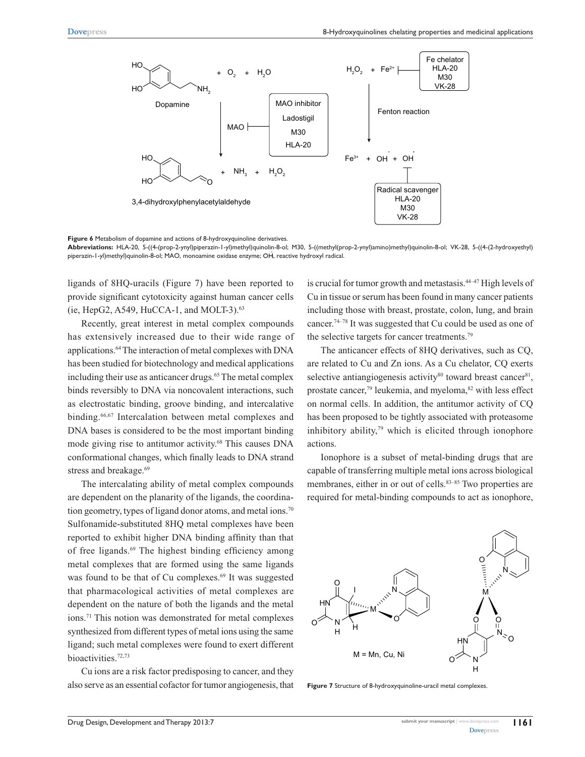

**Figure 6** Metabolism of dopamine and actions of 8-hydroxyquinoline derivatives.

**Abbreviations:** HLA-20, 5-((4-(prop-2-ynyl)piperazin-1-yl)methyl)quinolin-8-ol; M30, 5-((methyl(prop-2-ynyl)amino)methyl)quinolin-8-ol; VK-28, 5-((4-(2-hydroxyethyl) piperazin-1-yl)methyl)quinolin-8-ol; MAO, monoamine oxidase enzyme; OH, reactive hydroxyl radical.

ligands of 8HQ-uracils (Figure 7) have been reported to provide significant cytotoxicity against human cancer cells (ie, HepG2, A549, HuCCA-1, and MOLT-3).63

Recently, great interest in metal complex compounds has extensively increased due to their wide range of applications.64 The interaction of metal complexes with DNA has been studied for biotechnology and medical applications including their use as anticancer drugs.<sup>65</sup> The metal complex binds reversibly to DNA via noncovalent interactions, such as electrostatic binding, groove binding, and intercalative binding.66,67 Intercalation between metal complexes and DNA bases is considered to be the most important binding mode giving rise to antitumor activity.68 This causes DNA conformational changes, which finally leads to DNA strand stress and breakage.<sup>69</sup>

The intercalating ability of metal complex compounds are dependent on the planarity of the ligands, the coordination geometry, types of ligand donor atoms, and metal ions.<sup>70</sup> Sulfonamide-substituted 8HQ metal complexes have been reported to exhibit higher DNA binding affinity than that of free ligands.<sup>69</sup> The highest binding efficiency among metal complexes that are formed using the same ligands was found to be that of Cu complexes.<sup>69</sup> It was suggested that pharmacological activities of metal complexes are dependent on the nature of both the ligands and the metal ions.71 This notion was demonstrated for metal complexes synthesized from different types of metal ions using the same ligand; such metal complexes were found to exert different bioactivities.72,73

Cu ions are a risk factor predisposing to cancer, and they also serve as an essential cofactor for tumor angiogenesis, that is crucial for tumor growth and metastasis.44–47 High levels of Cu in tissue or serum has been found in many cancer patients including those with breast, prostate, colon, lung, and brain cancer.74–78 It was suggested that Cu could be used as one of the selective targets for cancer treatments.79

The anticancer effects of 8HQ derivatives, such as CQ, are related to Cu and Zn ions. As a Cu chelator, CQ exerts selective antiangiogenesis activity $80$  toward breast cancer $81$ , prostate cancer,<sup>79</sup> leukemia, and myeloma, $82$  with less effect on normal cells. In addition, the antitumor activity of CQ has been proposed to be tightly associated with proteasome inhibitory ability, $79$  which is elicited through ionophore actions.

Ionophore is a subset of metal-binding drugs that are capable of transferring multiple metal ions across biological membranes, either in or out of cells.<sup>83–85</sup> Two properties are required for metal-binding compounds to act as ionophore,



**Figure 7** Structure of 8-hydroxyquinoline-uracil metal complexes.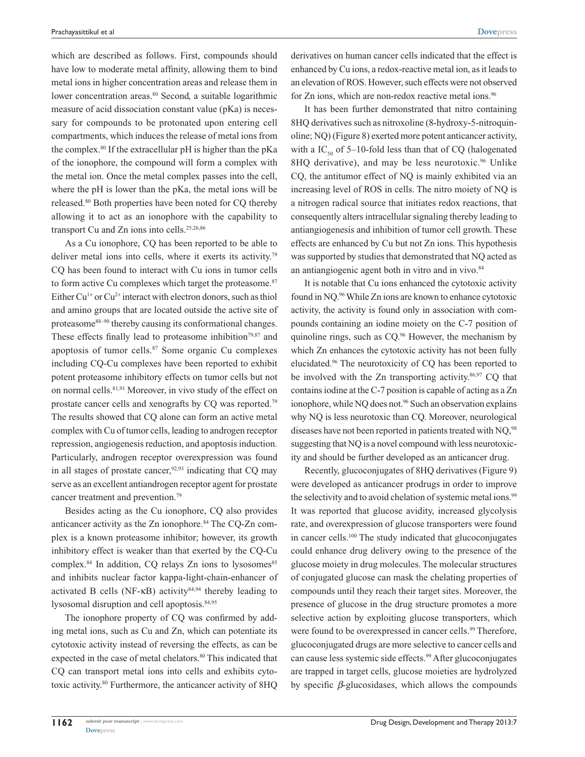which are described as follows. First, compounds should have low to moderate metal affinity, allowing them to bind metal ions in higher concentration areas and release them in lower concentration areas.<sup>80</sup> Second, a suitable logarithmic measure of acid dissociation constant value (pKa) is necessary for compounds to be protonated upon entering cell compartments, which induces the release of metal ions from the complex.<sup>80</sup> If the extracellular  $pH$  is higher than the  $pKa$ of the ionophore, the compound will form a complex with the metal ion. Once the metal complex passes into the cell, where the pH is lower than the pKa, the metal ions will be released.80 Both properties have been noted for CQ thereby allowing it to act as an ionophore with the capability to transport Cu and Zn ions into cells.<sup>25,26,86</sup>

As a Cu ionophore, CQ has been reported to be able to deliver metal ions into cells, where it exerts its activity.79 CQ has been found to interact with Cu ions in tumor cells to form active Cu complexes which target the proteasome.<sup>87</sup> Either Cu<sup>1+</sup> or Cu<sup>2+</sup> interact with electron donors, such as thiol and amino groups that are located outside the active site of proteasome88–90 thereby causing its conformational changes. These effects finally lead to proteasome inhibition<sup>79,87</sup> and apoptosis of tumor cells.87 Some organic Cu complexes including CQ-Cu complexes have been reported to exhibit potent proteasome inhibitory effects on tumor cells but not on normal cells.81,91 Moreover, in vivo study of the effect on prostate cancer cells and xenografts by CQ was reported.79 The results showed that CQ alone can form an active metal complex with Cu of tumor cells, leading to androgen receptor repression, angiogenesis reduction, and apoptosis induction. Particularly, androgen receptor overexpression was found in all stages of prostate cancer,  $92,93$  indicating that CQ may serve as an excellent antiandrogen receptor agent for prostate cancer treatment and prevention.79

Besides acting as the Cu ionophore, CQ also provides anticancer activity as the Zn ionophore.<sup>84</sup> The CQ-Zn complex is a known proteasome inhibitor; however, its growth inhibitory effect is weaker than that exerted by the CQ-Cu complex. $84$  In addition, CQ relays Zn ions to lysosomes $85$ and inhibits nuclear factor kappa-light-chain-enhancer of activated B cells (NF- $\kappa$ B) activity<sup>84,94</sup> thereby leading to lysosomal disruption and cell apoptosis.<sup>84,95</sup>

The ionophore property of CQ was confirmed by adding metal ions, such as Cu and Zn, which can potentiate its cytotoxic activity instead of reversing the effects, as can be expected in the case of metal chelators.<sup>80</sup> This indicated that CQ can transport metal ions into cells and exhibits cytotoxic activity.80 Furthermore, the anticancer activity of 8HQ derivatives on human cancer cells indicated that the effect is enhanced by Cu ions, a redox-reactive metal ion, as it leads to an elevation of ROS. However, such effects were not observed for Zn ions, which are non-redox reactive metal ions.<sup>96</sup>

It has been further demonstrated that nitro containing 8HQ derivatives such as nitroxoline (8-hydroxy-5-nitroquinoline; NQ) (Figure 8) exerted more potent anticancer activity, with a  $IC_{50}$  of 5–10-fold less than that of CQ (halogenated 8HQ derivative), and may be less neurotoxic.<sup>96</sup> Unlike CQ, the antitumor effect of NQ is mainly exhibited via an increasing level of ROS in cells. The nitro moiety of NQ is a nitrogen radical source that initiates redox reactions, that consequently alters intracellular signaling thereby leading to antiangiogenesis and inhibition of tumor cell growth. These effects are enhanced by Cu but not Zn ions. This hypothesis was supported by studies that demonstrated that NQ acted as an antiangiogenic agent both in vitro and in vivo.<sup>84</sup>

It is notable that Cu ions enhanced the cytotoxic activity found in NQ.96 While Zn ions are known to enhance cytotoxic activity, the activity is found only in association with compounds containing an iodine moiety on the C-7 position of quinoline rings, such as  $CQ<sup>96</sup>$  However, the mechanism by which Zn enhances the cytotoxic activity has not been fully elucidated.96 The neurotoxicity of CQ has been reported to be involved with the Zn transporting activity.<sup>86,97</sup> CQ that contains iodine at the C-7 position is capable of acting as a Zn ionophore, while NQ does not.<sup>96</sup> Such an observation explains why NQ is less neurotoxic than CQ. Moreover, neurological diseases have not been reported in patients treated with NQ,<sup>98</sup> suggesting that NQ is a novel compound with less neurotoxicity and should be further developed as an anticancer drug.

Recently, glucoconjugates of 8HQ derivatives (Figure 9) were developed as anticancer prodrugs in order to improve the selectivity and to avoid chelation of systemic metal ions.<sup>99</sup> It was reported that glucose avidity, increased glycolysis rate, and overexpression of glucose transporters were found in cancer cells.100 The study indicated that glucoconjugates could enhance drug delivery owing to the presence of the glucose moiety in drug molecules. The molecular structures of conjugated glucose can mask the chelating properties of compounds until they reach their target sites. Moreover, the presence of glucose in the drug structure promotes a more selective action by exploiting glucose transporters, which were found to be overexpressed in cancer cells.<sup>99</sup> Therefore, glucoconjugated drugs are more selective to cancer cells and can cause less systemic side effects.99 After glucoconjugates are trapped in target cells, glucose moieties are hydrolyzed by specific *β*-glucosidases, which allows the compounds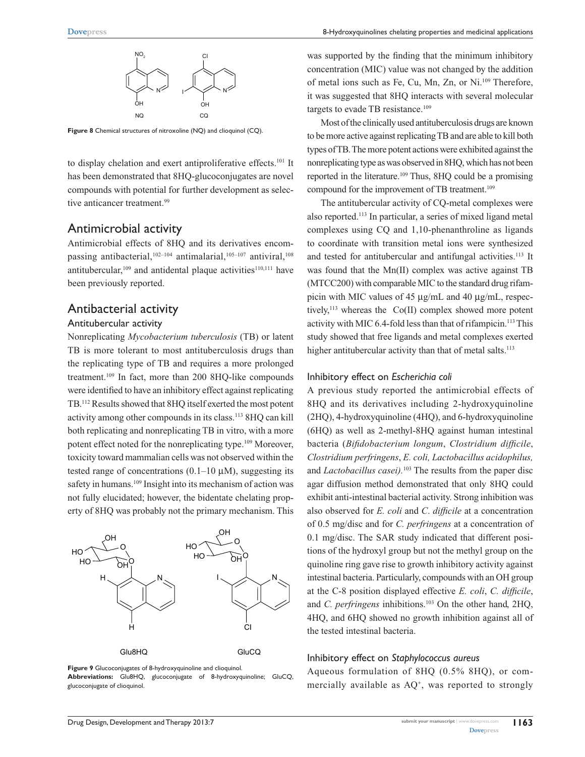

**Figure 8** Chemical structures of nitroxoline (NQ) and clioquinol (CQ).

to display chelation and exert antiproliferative effects.<sup>101</sup> It has been demonstrated that 8HQ-glucoconjugates are novel compounds with potential for further development as selective anticancer treatment.<sup>99</sup>

### Antimicrobial activity

Antimicrobial effects of 8HQ and its derivatives encompassing antibacterial, $102-104$  antimalarial, $105-107$  antiviral, $108$ antitubercular, $109$  and antidental plaque activities $110,111$  have been previously reported.

# Antibacterial activity

### Antitubercular activity

Nonreplicating *Mycobacterium tuberculosis* (TB) or latent TB is more tolerant to most antituberculosis drugs than the replicating type of TB and requires a more prolonged treatment.109 In fact, more than 200 8HQ-like compounds were identified to have an inhibitory effect against replicating TB.112 Results showed that 8HQ itself exerted the most potent activity among other compounds in its class.113 8HQ can kill both replicating and nonreplicating TB in vitro, with a more potent effect noted for the nonreplicating type.<sup>109</sup> Moreover, toxicity toward mammalian cells was not observed within the tested range of concentrations  $(0.1-10 \mu M)$ , suggesting its safety in humans.<sup>109</sup> Insight into its mechanism of action was not fully elucidated; however, the bidentate chelating property of 8HQ was probably not the primary mechanism. This



**Figure 9** Glucoconjugates of 8-hydroxyquinoline and clioquinol. **Abbreviations:** Glu8HQ, glucoconjugate of 8-hydroxyquinoline; GluCQ, glucoconjugate of clioquinol.

was supported by the finding that the minimum inhibitory concentration (MIC) value was not changed by the addition of metal ions such as Fe, Cu, Mn, Zn, or Ni.109 Therefore, it was suggested that 8HQ interacts with several molecular targets to evade TB resistance.<sup>109</sup>

Most of the clinically used antituberculosis drugs are known to be more active against replicating TB and are able to kill both types of TB. The more potent actions were exhibited against the nonreplicating type as was observed in 8HQ, which has not been reported in the literature.109 Thus, 8HQ could be a promising compound for the improvement of TB treatment.<sup>109</sup>

The antitubercular activity of CQ-metal complexes were also reported.113 In particular, a series of mixed ligand metal complexes using CQ and 1,10-phenanthroline as ligands to coordinate with transition metal ions were synthesized and tested for antitubercular and antifungal activities.<sup>113</sup> It was found that the Mn(II) complex was active against TB (MTCC200) with comparable MIC to the standard drug rifampicin with MIC values of 45 µg/mL and 40 µg/mL, respectively, $113$  whereas the Co(II) complex showed more potent activity with MIC 6.4-fold less than that of rifampicin.<sup>113</sup> This study showed that free ligands and metal complexes exerted higher antitubercular activity than that of metal salts.<sup>113</sup>

### Inhibitory effect on *Escherichia coli*

A previous study reported the antimicrobial effects of 8HQ and its derivatives including 2-hydroxyquinoline (2HQ), 4-hydroxyquinoline (4HQ), and 6-hydroxyquinoline (6HQ) as well as 2-methyl-8HQ against human intestinal bacteria (*Bifidobacterium longum*, *Clostridium difficile*, *Clostridium perfringens*, *E. coli, Lactobacillus acidophilus,* and *Lactobacillus casei).*103 The results from the paper disc agar diffusion method demonstrated that only 8HQ could exhibit anti-intestinal bacterial activity. Strong inhibition was also observed for *E. coli* and *C*. *difficile* at a concentration of 0.5 mg/disc and for *C. perfringens* at a concentration of 0.1 mg/disc. The SAR study indicated that different positions of the hydroxyl group but not the methyl group on the quinoline ring gave rise to growth inhibitory activity against intestinal bacteria. Particularly, compounds with an OH group at the C-8 position displayed effective *E. coli*, *C. difficile*, and *C. perfringens* inhibitions.<sup>103</sup> On the other hand, 2HQ, 4HQ, and 6HQ showed no growth inhibition against all of the tested intestinal bacteria.

### Inhibitory effect on *Staphylococcus aureus*

Aqueous formulation of 8HQ (0.5% 8HQ), or commercially available as AQ+, was reported to strongly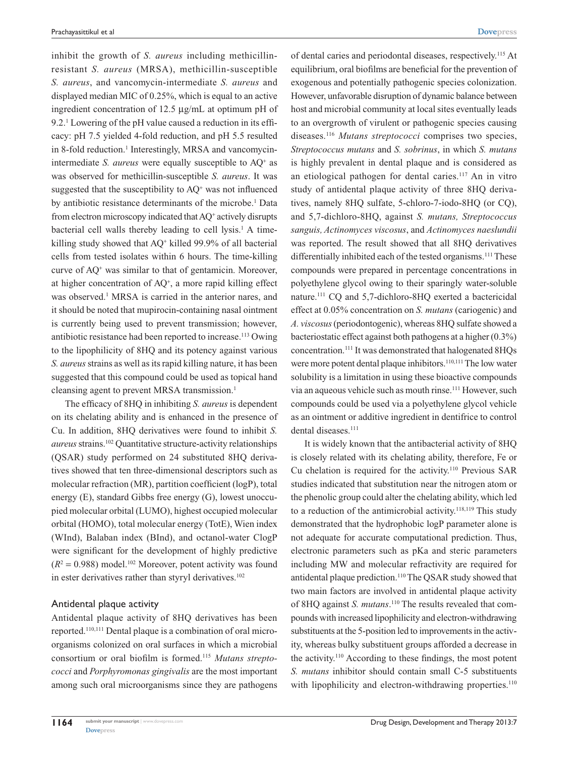inhibit the growth of *S. aureus* including methicillinresistant *S. aureus* (MRSA), methicillin-susceptible *S. aureus*, and vancomycin-intermediate *S. aureus* and displayed median MIC of 0.25%, which is equal to an active ingredient concentration of 12.5 µg/mL at optimum pH of 9.2.1 Lowering of the pH value caused a reduction in its efficacy: pH 7.5 yielded 4-fold reduction, and pH 5.5 resulted in 8-fold reduction.<sup>1</sup> Interestingly, MRSA and vancomycinintermediate *S. aureus* were equally susceptible to AQ<sup>+</sup> as was observed for methicillin-susceptible *S. aureus*. It was suggested that the susceptibility to  $AQ^+$  was not influenced by antibiotic resistance determinants of the microbe.<sup>1</sup> Data from electron microscopy indicated that AQ<sup>+</sup> actively disrupts bacterial cell walls thereby leading to cell lysis.<sup>1</sup> A timekilling study showed that AQ<sup>+</sup> killed 99.9% of all bacterial cells from tested isolates within 6 hours. The time-killing curve of AQ<sup>+</sup> was similar to that of gentamicin. Moreover, at higher concentration of AQ<sup>+</sup> , a more rapid killing effect was observed.<sup>1</sup> MRSA is carried in the anterior nares, and it should be noted that mupirocin-containing nasal ointment is currently being used to prevent transmission; however, antibiotic resistance had been reported to increase.<sup>113</sup> Owing to the lipophilicity of 8HQ and its potency against various *S. aureus* strains as well as its rapid killing nature, it has been suggested that this compound could be used as topical hand cleansing agent to prevent MRSA transmission.<sup>1</sup>

The efficacy of 8HQ in inhibiting *S. aureus* is dependent on its chelating ability and is enhanced in the presence of Cu. In addition, 8HQ derivatives were found to inhibit *S. aureus* strains.102 Quantitative structure-activity relationships (QSAR) study performed on 24 substituted 8HQ derivatives showed that ten three-dimensional descriptors such as molecular refraction (MR), partition coefficient (logP), total energy (E), standard Gibbs free energy (G), lowest unoccupied molecular orbital (LUMO), highest occupied molecular orbital (HOMO), total molecular energy (TotE), Wien index (WInd), Balaban index (BInd), and octanol-water ClogP were significant for the development of highly predictive  $(R^2 = 0.988)$  model.<sup>102</sup> Moreover, potent activity was found in ester derivatives rather than styryl derivatives.<sup>102</sup>

### Antidental plaque activity

Antidental plaque activity of 8HQ derivatives has been reported.110,111 Dental plaque is a combination of oral microorganisms colonized on oral surfaces in which a microbial consortium or oral biofilm is formed.115 *Mutans streptococci* and *Porphyromonas gingivalis* are the most important among such oral microorganisms since they are pathogens of dental caries and periodontal diseases, respectively.115 At equilibrium, oral biofilms are beneficial for the prevention of exogenous and potentially pathogenic species colonization. However, unfavorable disruption of dynamic balance between host and microbial community at local sites eventually leads to an overgrowth of virulent or pathogenic species causing diseases.116 *Mutans streptococci* comprises two species, *Streptococcus mutans* and *S. sobrinus*, in which *S. mutans* is highly prevalent in dental plaque and is considered as an etiological pathogen for dental caries.117 An in vitro study of antidental plaque activity of three 8HQ derivatives, namely 8HQ sulfate, 5-chloro-7-iodo-8HQ (or CQ), and 5,7-dichloro-8HQ, against *S. mutans, Streptococcus sanguis, Actinomyces viscosus*, and *Actinomyces naeslundii* was reported. The result showed that all 8HQ derivatives differentially inhibited each of the tested organisms.<sup>111</sup> These compounds were prepared in percentage concentrations in polyethylene glycol owing to their sparingly water-soluble nature.111 CQ and 5,7-dichloro-8HQ exerted a bactericidal effect at 0.05% concentration on *S. mutans* (cariogenic) and *A. viscosus* (periodontogenic), whereas 8HQ sulfate showed a bacteriostatic effect against both pathogens at a higher (0.3%) concentration.111 It was demonstrated that halogenated 8HQs were more potent dental plaque inhibitors.<sup>110,111</sup> The low water solubility is a limitation in using these bioactive compounds via an aqueous vehicle such as mouth rinse.111 However, such compounds could be used via a polyethylene glycol vehicle as an ointment or additive ingredient in dentifrice to control dental diseases.<sup>111</sup>

It is widely known that the antibacterial activity of 8HQ is closely related with its chelating ability, therefore, Fe or Cu chelation is required for the activity.110 Previous SAR studies indicated that substitution near the nitrogen atom or the phenolic group could alter the chelating ability, which led to a reduction of the antimicrobial activity.<sup>118,119</sup> This study demonstrated that the hydrophobic logP parameter alone is not adequate for accurate computational prediction. Thus, electronic parameters such as pKa and steric parameters including MW and molecular refractivity are required for antidental plaque prediction.<sup>110</sup> The QSAR study showed that two main factors are involved in antidental plaque activity of 8HQ against *S. mutans*. 110 The results revealed that compounds with increased lipophilicity and electron-withdrawing substituents at the 5-position led to improvements in the activity, whereas bulky substituent groups afforded a decrease in the activity.110 According to these findings, the most potent *S. mutans* inhibitor should contain small C-5 substituents with lipophilicity and electron-withdrawing properties.<sup>110</sup>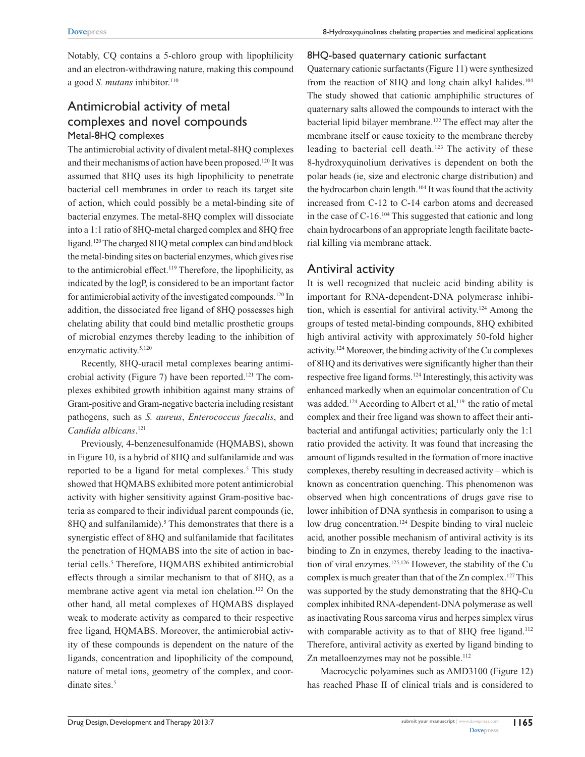Notably, CQ contains a 5-chloro group with lipophilicity and an electron-withdrawing nature, making this compound a good *S. mutans* inhibitor.<sup>110</sup>

# Antimicrobial activity of metal complexes and novel compounds Metal-8HQ complexes

The antimicrobial activity of divalent metal-8HQ complexes and their mechanisms of action have been proposed.<sup>120</sup> It was assumed that 8HQ uses its high lipophilicity to penetrate bacterial cell membranes in order to reach its target site of action, which could possibly be a metal-binding site of bacterial enzymes. The metal-8HQ complex will dissociate into a 1:1 ratio of 8HQ-metal charged complex and 8HQ free ligand.120 The charged 8HQ metal complex can bind and block the metal-binding sites on bacterial enzymes, which gives rise to the antimicrobial effect.119 Therefore, the lipophilicity, as indicated by the logP, is considered to be an important factor for antimicrobial activity of the investigated compounds.120 In addition, the dissociated free ligand of 8HQ possesses high chelating ability that could bind metallic prosthetic groups of microbial enzymes thereby leading to the inhibition of enzymatic activity.<sup>5,120</sup>

Recently, 8HQ-uracil metal complexes bearing antimicrobial activity (Figure 7) have been reported.<sup>121</sup> The complexes exhibited growth inhibition against many strains of Gram-positive and Gram-negative bacteria including resistant pathogens, such as *S. aureus*, *Enterococcus faecalis*, and *Candida albicans*. 121

Previously, 4-benzenesulfonamide (HQMABS), shown in Figure 10, is a hybrid of 8HQ and sulfanilamide and was reported to be a ligand for metal complexes.<sup>5</sup> This study showed that HQMABS exhibited more potent antimicrobial activity with higher sensitivity against Gram-positive bacteria as compared to their individual parent compounds (ie, 8HQ and sulfanilamide).<sup>5</sup> This demonstrates that there is a synergistic effect of 8HQ and sulfanilamide that facilitates the penetration of HQMABS into the site of action in bacterial cells.<sup>5</sup> Therefore, HQMABS exhibited antimicrobial effects through a similar mechanism to that of 8HQ, as a membrane active agent via metal ion chelation.<sup>122</sup> On the other hand, all metal complexes of HQMABS displayed weak to moderate activity as compared to their respective free ligand, HQMABS. Moreover, the antimicrobial activity of these compounds is dependent on the nature of the ligands, concentration and lipophilicity of the compound, nature of metal ions, geometry of the complex, and coordinate sites.<sup>5</sup>

# 8HQ-based quaternary cationic surfactant

Quaternary cationic surfactants (Figure 11) were synthesized from the reaction of 8HQ and long chain alkyl halides.<sup>104</sup> The study showed that cationic amphiphilic structures of quaternary salts allowed the compounds to interact with the bacterial lipid bilayer membrane.<sup>122</sup> The effect may alter the membrane itself or cause toxicity to the membrane thereby leading to bacterial cell death.123 The activity of these 8-hydroxyquinolium derivatives is dependent on both the polar heads (ie, size and electronic charge distribution) and the hydrocarbon chain length.<sup>104</sup> It was found that the activity increased from C-12 to C-14 carbon atoms and decreased in the case of C-16.104 This suggested that cationic and long chain hydrocarbons of an appropriate length facilitate bacterial killing via membrane attack.

# Antiviral activity

It is well recognized that nucleic acid binding ability is important for RNA-dependent-DNA polymerase inhibition, which is essential for antiviral activity.124 Among the groups of tested metal-binding compounds, 8HQ exhibited high antiviral activity with approximately 50-fold higher activity.124 Moreover, the binding activity of the Cu complexes of 8HQ and its derivatives were significantly higher than their respective free ligand forms.124 Interestingly, this activity was enhanced markedly when an equimolar concentration of Cu was added.<sup>124</sup> According to Albert et al,<sup>119</sup> the ratio of metal complex and their free ligand was shown to affect their antibacterial and antifungal activities; particularly only the 1:1 ratio provided the activity. It was found that increasing the amount of ligands resulted in the formation of more inactive complexes, thereby resulting in decreased activity – which is known as concentration quenching. This phenomenon was observed when high concentrations of drugs gave rise to lower inhibition of DNA synthesis in comparison to using a low drug concentration.<sup>124</sup> Despite binding to viral nucleic acid, another possible mechanism of antiviral activity is its binding to Zn in enzymes, thereby leading to the inactivation of viral enzymes.125,126 However, the stability of the Cu complex is much greater than that of the Zn complex.<sup>127</sup> This was supported by the study demonstrating that the 8HQ-Cu complex inhibited RNA-dependent-DNA polymerase as well as inactivating Rous sarcoma virus and herpes simplex virus with comparable activity as to that of 8HQ free ligand.<sup>112</sup> Therefore, antiviral activity as exerted by ligand binding to Zn metalloenzymes may not be possible.<sup>112</sup>

Macrocyclic polyamines such as AMD3100 (Figure 12) has reached Phase II of clinical trials and is considered to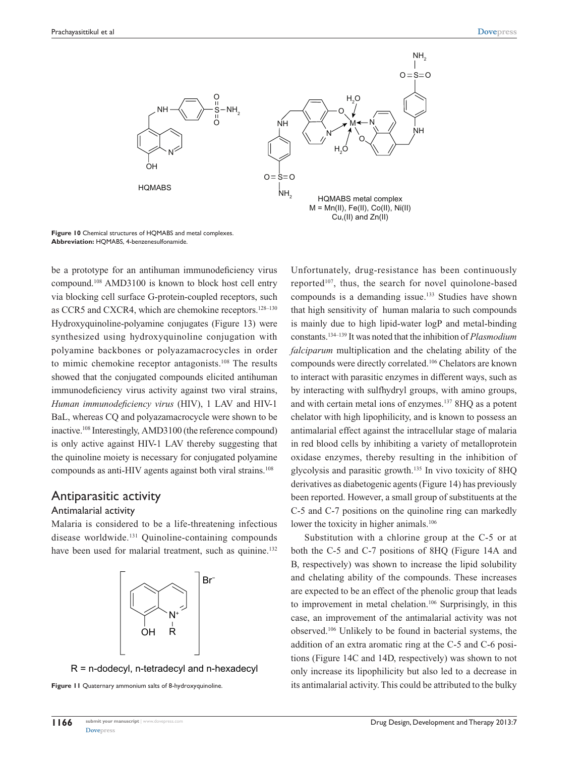

**Figure 10** Chemical structures of HQMABS and metal complexes. **Abbreviation:** HQMABS, 4-benzenesulfonamide.

be a prototype for an antihuman immunodeficiency virus compound.108 AMD3100 is known to block host cell entry via blocking cell surface G-protein-coupled receptors, such as CCR5 and CXCR4, which are chemokine receptors.128–130 Hydroxyquinoline-polyamine conjugates (Figure 13) were synthesized using hydroxyquinoline conjugation with polyamine backbones or polyazamacrocycles in order to mimic chemokine receptor antagonists.<sup>108</sup> The results showed that the conjugated compounds elicited antihuman immunodeficiency virus activity against two viral strains, *Human immunodeficiency virus* (HIV), 1 LAV and HIV-1 BaL, whereas CQ and polyazamacrocycle were shown to be inactive.108 Interestingly, AMD3100 (the reference compound) is only active against HIV-1 LAV thereby suggesting that the quinoline moiety is necessary for conjugated polyamine compounds as anti-HIV agents against both viral strains.<sup>108</sup>

# Antiparasitic activity

# Antimalarial activity

Malaria is considered to be a life-threatening infectious disease worldwide.131 Quinoline-containing compounds have been used for malarial treatment, such as quinine.<sup>132</sup>



R = n-dodecyl, n-tetradecyl and n-hexadecyl

**Figure 11** Quaternary ammonium salts of 8-hydroxyquinoline.

Unfortunately, drug-resistance has been continuously reported<sup>107</sup>, thus, the search for novel quinolone-based compounds is a demanding issue.133 Studies have shown that high sensitivity of human malaria to such compounds is mainly due to high lipid-water logP and metal-binding constants.134–139 It was noted that the inhibition of *Plasmodium falciparum* multiplication and the chelating ability of the compounds were directly correlated.106 Chelators are known to interact with parasitic enzymes in different ways, such as by interacting with sulfhydryl groups, with amino groups, and with certain metal ions of enzymes.137 8HQ as a potent chelator with high lipophilicity, and is known to possess an antimalarial effect against the intracellular stage of malaria in red blood cells by inhibiting a variety of metalloprotein oxidase enzymes, thereby resulting in the inhibition of glycolysis and parasitic growth.135 In vivo toxicity of 8HQ derivatives as diabetogenic agents (Figure 14) has previously been reported. However, a small group of substituents at the C-5 and C-7 positions on the quinoline ring can markedly lower the toxicity in higher animals.<sup>106</sup>

Substitution with a chlorine group at the C-5 or at both the C-5 and C-7 positions of 8HQ (Figure 14A and B, respectively) was shown to increase the lipid solubility and chelating ability of the compounds. These increases are expected to be an effect of the phenolic group that leads to improvement in metal chelation.106 Surprisingly, in this case, an improvement of the antimalarial activity was not observed.106 Unlikely to be found in bacterial systems, the addition of an extra aromatic ring at the C-5 and C-6 positions (Figure 14C and 14D, respectively) was shown to not only increase its lipophilicity but also led to a decrease in its antimalarial activity. This could be attributed to the bulky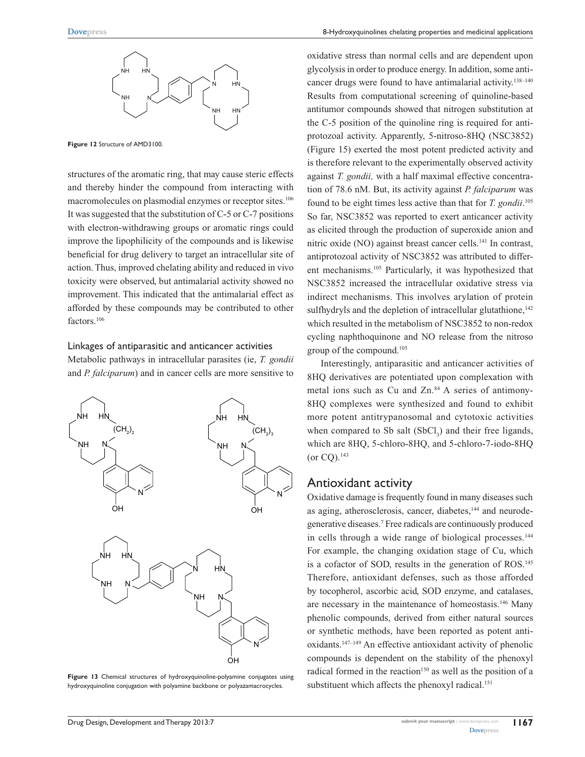

**Figure 12** Structure of AMD3100.

structures of the aromatic ring, that may cause steric effects and thereby hinder the compound from interacting with macromolecules on plasmodial enzymes or receptor sites.<sup>106</sup> It was suggested that the substitution of C-5 or C-7 positions with electron-withdrawing groups or aromatic rings could improve the lipophilicity of the compounds and is likewise beneficial for drug delivery to target an intracellular site of action. Thus, improved chelating ability and reduced in vivo toxicity were observed, but antimalarial activity showed no improvement. This indicated that the antimalarial effect as afforded by these compounds may be contributed to other factors.<sup>106</sup>

### Linkages of antiparasitic and anticancer activities

Metabolic pathways in intracellular parasites (ie, *T. gondii* and *P. falciparum*) and in cancer cells are more sensitive to



**Figure 13** Chemical structures of hydroxyquinoline-polyamine conjugates using hydroxyquinoline conjugation with polyamine backbone or polyazamacrocycles.

oxidative stress than normal cells and are dependent upon glycolysis in order to produce energy. In addition, some anticancer drugs were found to have antimalarial activity.<sup>138–140</sup> Results from computational screening of quinoline-based antitumor compounds showed that nitrogen substitution at the C-5 position of the quinoline ring is required for antiprotozoal activity. Apparently, 5-nitroso-8HQ (NSC3852) (Figure 15) exerted the most potent predicted activity and is therefore relevant to the experimentally observed activity against *T. gondii,* with a half maximal effective concentration of 78.6 nM. But, its activity against *P. falciparum* was found to be eight times less active than that for *T. gondii*. 105 So far, NSC3852 was reported to exert anticancer activity as elicited through the production of superoxide anion and nitric oxide (NO) against breast cancer cells.<sup>141</sup> In contrast, antiprotozoal activity of NSC3852 was attributed to different mechanisms.105 Particularly, it was hypothesized that NSC3852 increased the intracellular oxidative stress via indirect mechanisms. This involves arylation of protein sulfhydryls and the depletion of intracellular glutathione,<sup>142</sup> which resulted in the metabolism of NSC3852 to non-redox cycling naphthoquinone and NO release from the nitroso group of the compound.105

Interestingly, antiparasitic and anticancer activities of 8HQ derivatives are potentiated upon complexation with metal ions such as Cu and Zn.<sup>84</sup> A series of antimony-8HQ complexes were synthesized and found to exhibit more potent antitrypanosomal and cytotoxic activities when compared to Sb salt  $(SbCl<sub>3</sub>)$  and their free ligands, which are 8HQ, 5-chloro-8HQ, and 5-chloro-7-iodo-8HQ  $($ or CO $).$ <sup>143</sup>

### Antioxidant activity

Oxidative damage is frequently found in many diseases such as aging, atherosclerosis, cancer, diabetes,<sup>144</sup> and neurodegenerative diseases.7 Free radicals are continuously produced in cells through a wide range of biological processes.<sup>144</sup> For example, the changing oxidation stage of Cu, which is a cofactor of SOD, results in the generation of ROS.<sup>145</sup> Therefore, antioxidant defenses, such as those afforded by tocopherol, ascorbic acid, SOD enzyme, and catalases, are necessary in the maintenance of homeostasis.<sup>146</sup> Many phenolic compounds, derived from either natural sources or synthetic methods, have been reported as potent antioxidants.147–149 An effective antioxidant activity of phenolic compounds is dependent on the stability of the phenoxyl radical formed in the reaction<sup>150</sup> as well as the position of a substituent which affects the phenoxyl radical.<sup>151</sup>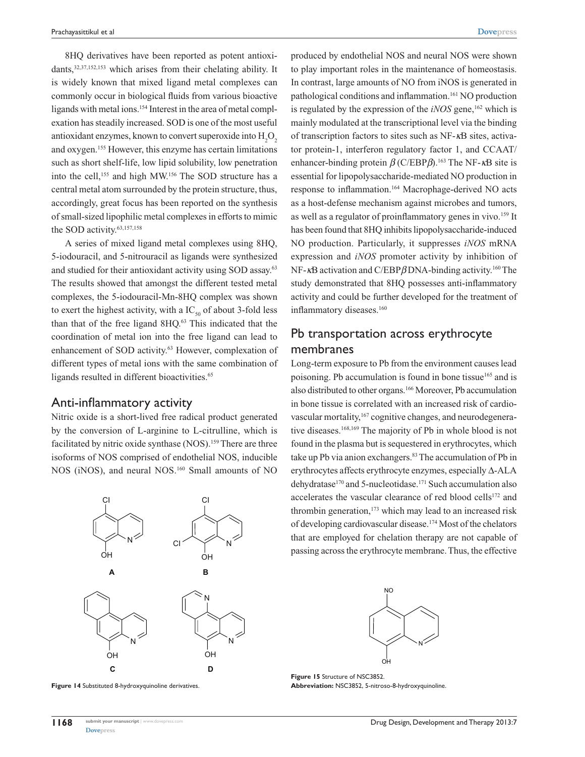8HQ derivatives have been reported as potent antioxidants,  $32,37,152,153$  which arises from their chelating ability. It is widely known that mixed ligand metal complexes can commonly occur in biological fluids from various bioactive ligands with metal ions.<sup>154</sup> Interest in the area of metal complexation has steadily increased. SOD is one of the most useful antioxidant enzymes, known to convert superoxide into  $H_2O_2$ and oxygen.155 However, this enzyme has certain limitations such as short shelf-life, low lipid solubility, low penetration into the cell,<sup>155</sup> and high MW.<sup>156</sup> The SOD structure has a central metal atom surrounded by the protein structure, thus, accordingly, great focus has been reported on the synthesis of small-sized lipophilic metal complexes in efforts to mimic the SOD activity.<sup>63,157,158</sup>

A series of mixed ligand metal complexes using 8HQ, 5-iodouracil, and 5-nitrouracil as ligands were synthesized and studied for their antioxidant activity using SOD assay.63 The results showed that amongst the different tested metal complexes, the 5-iodouracil-Mn-8HQ complex was shown to exert the highest activity, with a  $IC_{50}$  of about 3-fold less than that of the free ligand 8HQ.<sup>63</sup> This indicated that the coordination of metal ion into the free ligand can lead to enhancement of SOD activity.<sup>63</sup> However, complexation of different types of metal ions with the same combination of ligands resulted in different bioactivities.<sup>65</sup>

### Anti-inflammatory activity

Nitric oxide is a short-lived free radical product generated by the conversion of L-arginine to L-citrulline, which is facilitated by nitric oxide synthase (NOS).<sup>159</sup> There are three isoforms of NOS comprised of endothelial NOS, inducible NOS (iNOS), and neural NOS.<sup>160</sup> Small amounts of NO



**Figure 14** Substituted 8-hydroxyquinoline derivatives.

produced by endothelial NOS and neural NOS were shown to play important roles in the maintenance of homeostasis. In contrast, large amounts of NO from iNOS is generated in pathological conditions and inflammation.<sup>161</sup> NO production is regulated by the expression of the *iNOS* gene,<sup>162</sup> which is mainly modulated at the transcriptional level via the binding of transcription factors to sites such as NF-*κ*B sites, activator protein-1, interferon regulatory factor 1, and CCAAT/ enhancer-binding protein *β* (C/EBP*β*).163 The NF-*κ*B site is essential for lipopolysaccharide-mediated NO production in response to inflammation.164 Macrophage-derived NO acts as a host-defense mechanism against microbes and tumors, as well as a regulator of proinflammatory genes in vivo.<sup>159</sup> It has been found that 8HQ inhibits lipopolysaccharide-induced NO production. Particularly, it suppresses *iNOS* mRNA expression and *iNOS* promoter activity by inhibition of NF-*κ*B activation and C/EBP*β* DNA-binding activity.160 The study demonstrated that 8HQ possesses anti-inflammatory activity and could be further developed for the treatment of inflammatory diseases.<sup>160</sup>

# Pb transportation across erythrocyte membranes

Long-term exposure to Pb from the environment causes lead poisoning. Pb accumulation is found in bone tissue<sup>165</sup> and is also distributed to other organs.166 Moreover, Pb accumulation in bone tissue is correlated with an increased risk of cardiovascular mortality, <sup>167</sup> cognitive changes, and neurodegenerative diseases.<sup>168,169</sup> The majority of Pb in whole blood is not found in the plasma but is sequestered in erythrocytes, which take up Pb via anion exchangers.<sup>83</sup> The accumulation of Pb in erythrocytes affects erythrocyte enzymes, especially ∆-ALA dehydratase<sup>170</sup> and 5-nucleotidase.<sup>171</sup> Such accumulation also accelerates the vascular clearance of red blood cells<sup>172</sup> and thrombin generation,<sup>173</sup> which may lead to an increased risk of developing cardiovascular disease.174 Most of the chelators that are employed for chelation therapy are not capable of passing across the erythrocyte membrane. Thus, the effective



**Figure 15** Structure of NSC3852. **Abbreviation:** NSC3852, 5-nitroso-8-hydroxyquinoline.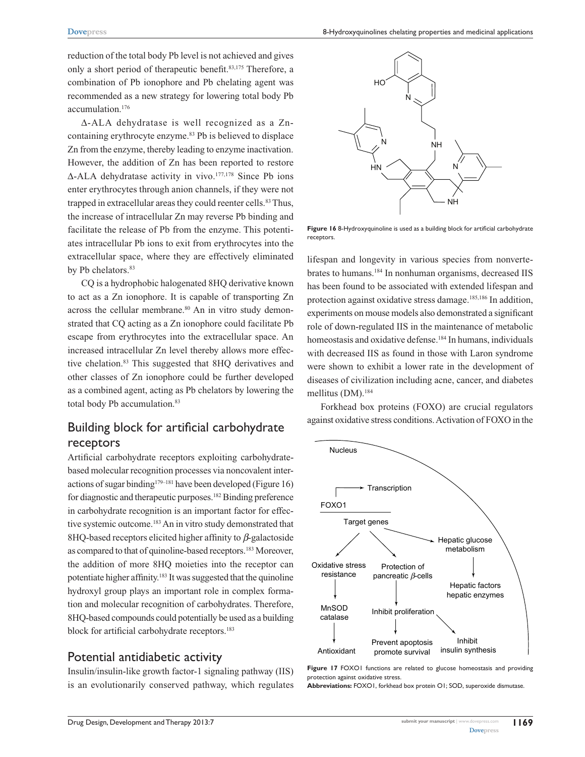8-Hydroxyquinolines chelating properties and medicinal applications

reduction of the total body Pb level is not achieved and gives only a short period of therapeutic benefit.83,175 Therefore, a combination of Pb ionophore and Pb chelating agent was recommended as a new strategy for lowering total body Pb accumulation.176

∆-ALA dehydratase is well recognized as a Zncontaining erythrocyte enzyme.<sup>83</sup> Pb is believed to displace Zn from the enzyme, thereby leading to enzyme inactivation. However, the addition of Zn has been reported to restore ∆-ALA dehydratase activity in vivo.177,178 Since Pb ions enter erythrocytes through anion channels, if they were not trapped in extracellular areas they could reenter cells.<sup>83</sup> Thus, the increase of intracellular Zn may reverse Pb binding and facilitate the release of Pb from the enzyme. This potentiates intracellular Pb ions to exit from erythrocytes into the extracellular space, where they are effectively eliminated by Pb chelators.<sup>83</sup>

CQ is a hydrophobic halogenated 8HQ derivative known to act as a Zn ionophore. It is capable of transporting Zn across the cellular membrane.<sup>80</sup> An in vitro study demonstrated that CQ acting as a Zn ionophore could facilitate Pb escape from erythrocytes into the extracellular space. An increased intracellular Zn level thereby allows more effective chelation.83 This suggested that 8HQ derivatives and other classes of Zn ionophore could be further developed as a combined agent, acting as Pb chelators by lowering the total body Pb accumulation.<sup>83</sup>

# Building block for artificial carbohydrate receptors

Artificial carbohydrate receptors exploiting carbohydratebased molecular recognition processes via noncovalent interactions of sugar binding<sup>179–181</sup> have been developed (Figure 16) for diagnostic and therapeutic purposes.<sup>182</sup> Binding preference in carbohydrate recognition is an important factor for effective systemic outcome.<sup>183</sup> An in vitro study demonstrated that 8HQ-based receptors elicited higher affinity to *β*-galactoside as compared to that of quinoline-based receptors.<sup>183</sup> Moreover, the addition of more 8HQ moieties into the receptor can potentiate higher affinity.183 It was suggested that the quinoline hydroxyl group plays an important role in complex formation and molecular recognition of carbohydrates. Therefore, 8HQ-based compounds could potentially be used as a building block for artificial carbohydrate receptors.<sup>183</sup>

# Potential antidiabetic activity

Insulin/insulin-like growth factor-1 signaling pathway (IIS) is an evolutionarily conserved pathway, which regulates



**Figure 16** 8-Hydroxyquinoline is used as a building block for artificial carbohydrate receptors.

lifespan and longevity in various species from nonvertebrates to humans.184 In nonhuman organisms, decreased IIS has been found to be associated with extended lifespan and protection against oxidative stress damage.<sup>185,186</sup> In addition, experiments on mouse models also demonstrated a significant role of down-regulated IIS in the maintenance of metabolic homeostasis and oxidative defense.<sup>184</sup> In humans, individuals with decreased IIS as found in those with Laron syndrome were shown to exhibit a lower rate in the development of diseases of civilization including acne, cancer, and diabetes mellitus (DM).184

Forkhead box proteins (FOXO) are crucial regulators against oxidative stress conditions. Activation of FOXO in the



Figure 17 FOXO1 functions are related to glucose homeostasis and providing protection against oxidative stress.

**Abbreviations:** FOXO1, forkhead box protein O1; SOD, superoxide dismutase.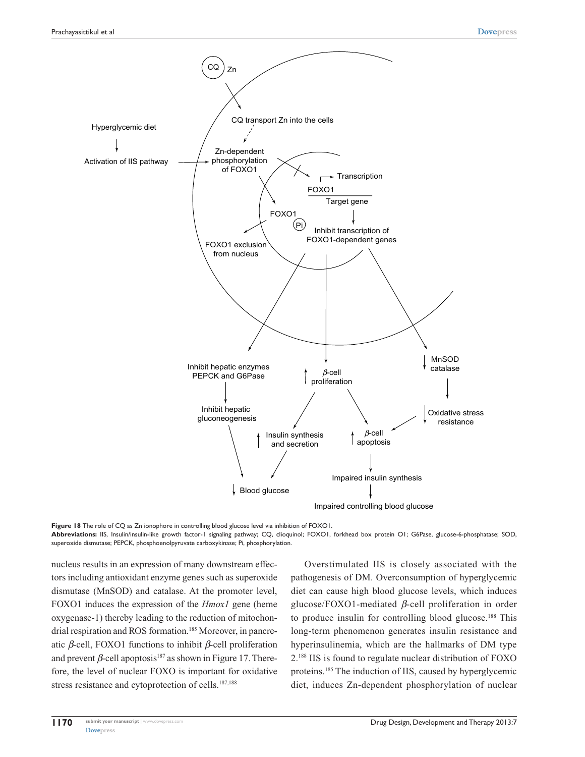

**Figure 18** The role of CQ as Zn ionophore in controlling blood glucose level via inhibition of FOXO1.

**Abbreviations:** IIS, Insulin/insulin-like growth factor-1 signaling pathway; CQ, clioquinol; FOXO1, forkhead box protein O1; G6Pase, glucose-6-phosphatase; SOD, superoxide dismutase; PEPCK, phosphoenolpyruvate carboxykinase; Pi, phosphorylation.

nucleus results in an expression of many downstream effectors including antioxidant enzyme genes such as superoxide dismutase (MnSOD) and catalase. At the promoter level, FOXO1 induces the expression of the *Hmox1* gene (heme oxygenase-1) thereby leading to the reduction of mitochondrial respiration and ROS formation.<sup>185</sup> Moreover, in pancreatic *β*-cell, FOXO1 functions to inhibit *β*-cell proliferation and prevent  $\beta$ -cell apoptosis<sup>187</sup> as shown in Figure 17. Therefore, the level of nuclear FOXO is important for oxidative stress resistance and cytoprotection of cells.<sup>187,188</sup>

Overstimulated IIS is closely associated with the pathogenesis of DM. Overconsumption of hyperglycemic diet can cause high blood glucose levels, which induces glucose/FOXO1-mediated *β*-cell proliferation in order to produce insulin for controlling blood glucose.188 This long-term phenomenon generates insulin resistance and hyperinsulinemia, which are the hallmarks of DM type 2.188 IIS is found to regulate nuclear distribution of FOXO proteins.185 The induction of IIS, caused by hyperglycemic diet, induces Zn-dependent phosphorylation of nuclear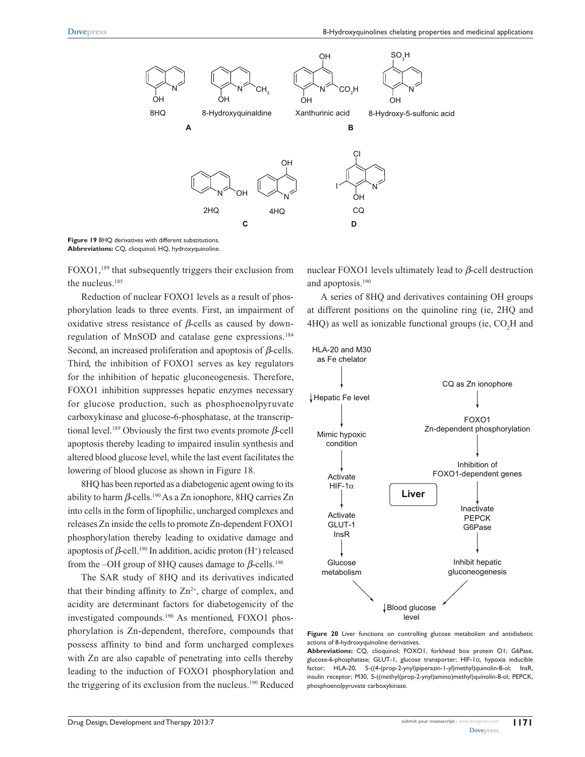

**Figure 19** 8HQ derivatives with different substitutions. **Abbreviations:** CQ, clioquinol; HQ, hydroxyquinoline.

FOXO1,189 that subsequently triggers their exclusion from the nucleus.<sup>185</sup>

Reduction of nuclear FOXO1 levels as a result of phosphorylation leads to three events. First, an impairment of oxidative stress resistance of *β*-cells as caused by downregulation of MnSOD and catalase gene expressions.184 Second, an increased proliferation and apoptosis of *β*-cells. Third, the inhibition of FOXO1 serves as key regulators for the inhibition of hepatic gluconeogenesis. Therefore, FOXO1 inhibition suppresses hepatic enzymes necessary for glucose production, such as phosphoenolpyruvate carboxykinase and glucose-6-phosphatase, at the transcriptional level.189 Obviously the first two events promote *β*-cell apoptosis thereby leading to impaired insulin synthesis and altered blood glucose level, while the last event facilitates the lowering of blood glucose as shown in Figure 18.

8HQ has been reported as a diabetogenic agent owing to its ability to harm *β*-cells.<sup>190</sup> As a Zn ionophore, 8HQ carries Zn into cells in the form of lipophilic, uncharged complexes and releases Zn inside the cells to promote Zn-dependent FOXO1 phosphorylation thereby leading to oxidative damage and apoptosis of  $\beta$ -cell.<sup>190</sup> In addition, acidic proton (H<sup>+</sup>) released from the –OH group of 8HQ causes damage to *β*-cells.<sup>190</sup>

The SAR study of 8HQ and its derivatives indicated that their binding affinity to  $Zn^{2+}$ , charge of complex, and acidity are determinant factors for diabetogenicity of the investigated compounds.190 As mentioned, FOXO1 phosphorylation is Zn-dependent, therefore, compounds that possess affinity to bind and form uncharged complexes with Zn are also capable of penetrating into cells thereby leading to the induction of FOXO1 phosphorylation and the triggering of its exclusion from the nucleus.<sup>190</sup> Reduced

nuclear FOXO1 levels ultimately lead to *β*-cell destruction and apoptosis.<sup>190</sup>

A series of 8HQ and derivatives containing OH groups at different positions on the quinoline ring (ie, 2HQ and 4HQ) as well as ionizable functional groups (ie,  $CO<sub>2</sub>H$  and



**Figure 20** Liver functions on controlling glucose metabolism and antidiabetic actions of 8-hydroxyquinoline derivatives.

**Abbreviations:** CQ, clioquinol; FOXO1, forkhead box protein O1; G6Pase, glucose-6-phosphatase; GLUT-1, glucose transporter; HIF-1 $\alpha$ , hypoxia inducible factor; HLA-20, 5-((4-(prop-2-ynyl)piperazin-1-yl)methyl)quinolin-8-ol; InsR, insulin receptor; M30, 5-((methyl(prop-2-ynyl)amino)methyl)quinolin-8-ol; PEPCK, phosphoenolpyruvate carboxykinase.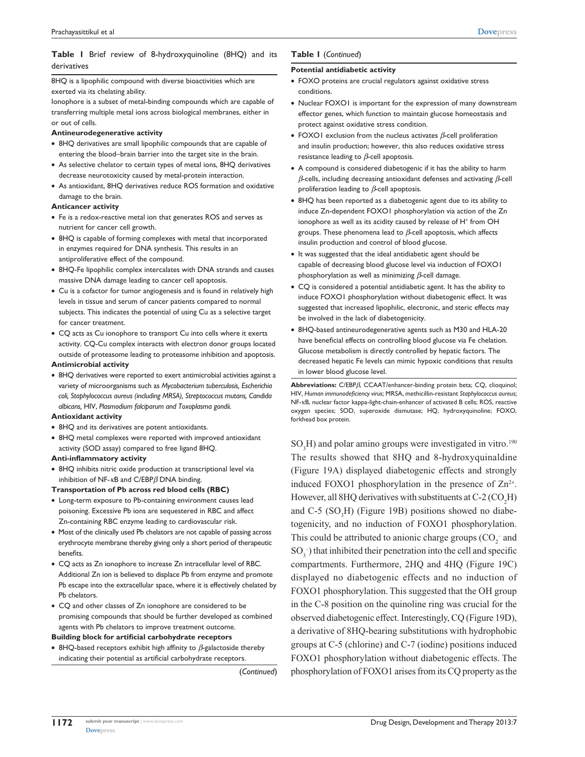### **Table 1** Brief review of 8-hydroxyquinoline (8HQ) and its derivatives

8HQ is a lipophilic compound with diverse bioactivities which are exerted via its chelating ability.

Ionophore is a subset of metal-binding compounds which are capable of transferring multiple metal ions across biological membranes, either in or out of cells.

#### **Antineurodegenerative activity**

- 8HQ derivatives are small lipophilic compounds that are capable of entering the blood–brain barrier into the target site in the brain.
- As selective chelator to certain types of metal ions, 8HQ derivatives decrease neurotoxicity caused by metal-protein interaction.
- As antioxidant, 8HQ derivatives reduce ROS formation and oxidative damage to the brain.

#### **Anticancer activity**

- Fe is a redox-reactive metal ion that generates ROS and serves as nutrient for cancer cell growth.
- 8HQ is capable of forming complexes with metal that incorporated in enzymes required for DNA synthesis. This results in an antiproliferative effect of the compound.
- 8HQ-Fe lipophilic complex intercalates with DNA strands and causes massive DNA damage leading to cancer cell apoptosis.
- Cu is a cofactor for tumor angiogenesis and is found in relatively high levels in tissue and serum of cancer patients compared to normal subjects. This indicates the potential of using Cu as a selective target for cancer treatment.
- CQ acts as Cu ionophore to transport Cu into cells where it exerts activity. CQ-Cu complex interacts with electron donor groups located outside of proteasome leading to proteasome inhibition and apoptosis.

#### **Antimicrobial activity**

• 8HQ derivatives were reported to exert antimicrobial activities against a variety of microorganisms such as *Mycobacterium tuberculosis, Escherichia coli, Staphylococcus aureus (including MRSA), Streptococcus mutans, Candida albicans,* HIV, *Plasmodium falciparum and Toxoplasma gondii.*

#### **Antioxidant activity**

- 8HQ and its derivatives are potent antioxidants.
- 8HQ metal complexes were reported with improved antioxidant activity (SOD assay) compared to free ligand 8HQ.

#### **Anti-inflammatory activity**

- 8HQ inhibits nitric oxide production at transcriptional level via inhibition of NF-*κ*B and C/EBP*β* DNA binding.
- **Transportation of Pb across red blood cells (RBC)**
- Long-term exposure to Pb-containing environment causes lead poisoning. Excessive Pb ions are sequestered in RBC and affect Zn-containing RBC enzyme leading to cardiovascular risk.
- Most of the clinically used Pb chelators are not capable of passing across erythrocyte membrane thereby giving only a short period of therapeutic benefits.
- CQ acts as Zn ionophore to increase Zn intracellular level of RBC. Additional Zn ion is believed to displace Pb from enzyme and promote Pb escape into the extracellular space, where it is effectively chelated by Pb chelators.
- CQ and other classes of Zn ionophore are considered to be promising compounds that should be further developed as combined agents with Pb chelators to improve treatment outcome.

**Building block for artificial carbohydrate receptors**

• 8HQ-based receptors exhibit high affinity to *β*-galactoside thereby indicating their potential as artificial carbohydrate receptors.

(*Continued*)

### **Table 1** (*Continued*)

#### **Potential antidiabetic activity**

- FOXO proteins are crucial regulators against oxidative stress conditions.
- Nuclear FOXO1 is important for the expression of many downstream effector genes, which function to maintain glucose homeostasis and protect against oxidative stress condition.
- FOXO1 exclusion from the nucleus activates *β*-cell proliferation and insulin production; however, this also reduces oxidative stress resistance leading to *β*-cell apoptosis.
- A compound is considered diabetogenic if it has the ability to harm *β*-cells, including decreasing antioxidant defenses and activating *β*-cell proliferation leading to *β*-cell apoptosis.
- 8HQ has been reported as a diabetogenic agent due to its ability to induce Zn-dependent FOXO1 phosphorylation via action of the Zn ionophore as well as its acidity caused by release of H<sup>+</sup> from OH groups. These phenomena lead to *β*-cell apoptosis, which affects insulin production and control of blood glucose.
- It was suggested that the ideal antidiabetic agent should be capable of decreasing blood glucose level via induction of FOXO1 phosphorylation as well as minimizing *β*-cell damage.
- CQ is considered a potential antidiabetic agent. It has the ability to induce FOXO1 phosphorylation without diabetogenic effect. It was suggested that increased lipophilic, electronic, and steric effects may be involved in the lack of diabetogenicity.
- 8HQ-based antineurodegenerative agents such as M30 and HLA-20 have beneficial effects on controlling blood glucose via Fe chelation. Glucose metabolism is directly controlled by hepatic factors. The decreased hepatic Fe levels can mimic hypoxic conditions that results in lower blood glucose level.

**Abbreviations:** C/EBP*β*, CCAAT/enhancer-binding protein beta; CQ, clioquinol; HIV, *Human immunodeficiency virus*; MRSA, methicillin-resistant *Staphylococcus aureus;* NF-κB, nuclear factor kappa-light-chain-enhancer of activated B cells; ROS, reactive oxygen species; SOD, superoxide dismutase; HQ, hydroxyquinoline; FOXO, forkhead box protein.

 $SO<sub>3</sub>H$ ) and polar amino groups were investigated in vitro.<sup>190</sup> The results showed that 8HQ and 8-hydroxyquinaldine (Figure 19A) displayed diabetogenic effects and strongly induced FOXO1 phosphorylation in the presence of  $\text{Zn}^{2+}$ . However, all 8HQ derivatives with substituents at  $C-2$  ( $CO<sub>2</sub>H$ ) and C-5  $(SO<sub>3</sub>H)$  (Figure 19B) positions showed no diabetogenicity, and no induction of FOXO1 phosphorylation. This could be attributed to anionic charge groups  $(CO_2^-$  and  $SO_3^-$ ) that inhibited their penetration into the cell and specific compartments. Furthermore, 2HQ and 4HQ (Figure 19C) displayed no diabetogenic effects and no induction of FOXO1 phosphorylation. This suggested that the OH group in the C-8 position on the quinoline ring was crucial for the observed diabetogenic effect. Interestingly, CQ (Figure 19D), a derivative of 8HQ-bearing substitutions with hydrophobic groups at C-5 (chlorine) and C-7 (iodine) positions induced FOXO1 phosphorylation without diabetogenic effects. The phosphorylation of FOXO1 arises from its CQ property as the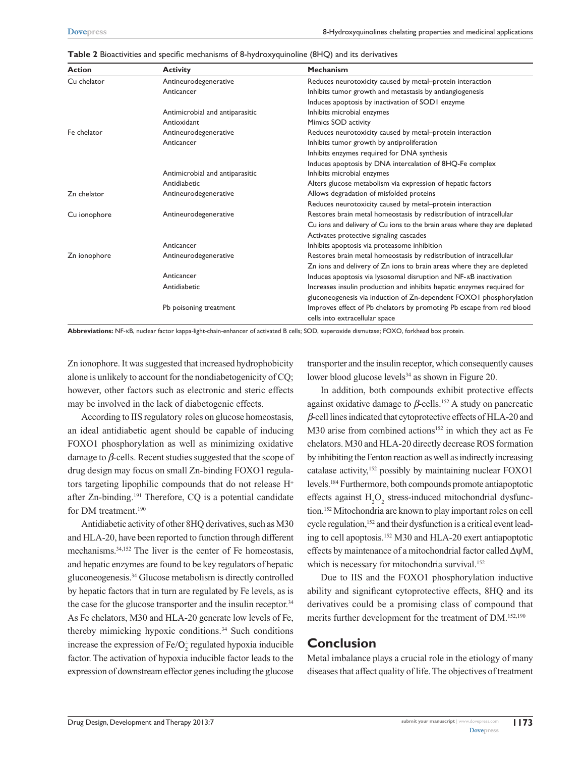| <b>Action</b> | <b>Activity</b>                 | <b>Mechanism</b>                                                           |
|---------------|---------------------------------|----------------------------------------------------------------------------|
| Cu chelator   | Antineurodegenerative           | Reduces neurotoxicity caused by metal-protein interaction                  |
|               | Anticancer                      | Inhibits tumor growth and metastasis by antiangiogenesis                   |
|               |                                 | Induces apoptosis by inactivation of SODI enzyme                           |
|               | Antimicrobial and antiparasitic | Inhibits microbial enzymes                                                 |
|               | Antioxidant                     | Mimics SOD activity                                                        |
| Fe chelator   | Antineurodegenerative           | Reduces neurotoxicity caused by metal-protein interaction                  |
|               | Anticancer                      | Inhibits tumor growth by antiproliferation                                 |
|               |                                 | Inhibits enzymes required for DNA synthesis                                |
|               |                                 | Induces apoptosis by DNA intercalation of 8HQ-Fe complex                   |
|               | Antimicrobial and antiparasitic | Inhibits microbial enzymes                                                 |
|               | Antidiabetic                    | Alters glucose metabolism via expression of hepatic factors                |
| Zn chelator   | Antineurodegenerative           | Allows degradation of misfolded proteins                                   |
|               |                                 | Reduces neurotoxicity caused by metal-protein interaction                  |
| Cu ionophore  | Antineurodegenerative           | Restores brain metal homeostasis by redistribution of intracellular        |
|               |                                 | Cu ions and delivery of Cu ions to the brain areas where they are depleted |
|               |                                 | Activates protective signaling cascades                                    |
|               | Anticancer                      | Inhibits apoptosis via proteasome inhibition                               |
| Zn ionophore  | Antineurodegenerative           | Restores brain metal homeostasis by redistribution of intracellular        |
|               |                                 | Zn ions and delivery of Zn ions to brain areas where they are depleted     |
|               | Anticancer                      | Induces apoptosis via lysosomal disruption and NF-KB inactivation          |
|               | Antidiabetic                    | Increases insulin production and inhibits hepatic enzymes required for     |
|               |                                 | gluconeogenesis via induction of Zn-dependent FOXOI phosphorylation        |
|               | Pb poisoning treatment          | Improves effect of Pb chelators by promoting Pb escape from red blood      |
|               |                                 | cells into extracellular space                                             |

**Table 2** Bioactivities and specific mechanisms of 8-hydroxyquinoline (8HQ) and its derivatives

**Abbreviations:** NF-κB, nuclear factor kappa-light-chain-enhancer of activated B cells; SOD, superoxide dismutase; FOXO, forkhead box protein.

Zn ionophore. It was suggested that increased hydrophobicity alone is unlikely to account for the nondiabetogenicity of CQ; however, other factors such as electronic and steric effects may be involved in the lack of diabetogenic effects.

According to IIS regulatory roles on glucose homeostasis, an ideal antidiabetic agent should be capable of inducing FOXO1 phosphorylation as well as minimizing oxidative damage to *β*-cells. Recent studies suggested that the scope of drug design may focus on small Zn-binding FOXO1 regulators targeting lipophilic compounds that do not release H<sup>+</sup> after Zn-binding.191 Therefore, CQ is a potential candidate for DM treatment.<sup>190</sup>

Antidiabetic activity of other 8HQ derivatives, such as M30 and HLA-20, have been reported to function through different mechanisms.34,152 The liver is the center of Fe homeostasis, and hepatic enzymes are found to be key regulators of hepatic gluconeogenesis.34 Glucose metabolism is directly controlled by hepatic factors that in turn are regulated by Fe levels, as is the case for the glucose transporter and the insulin receptor.<sup>34</sup> As Fe chelators, M30 and HLA-20 generate low levels of Fe, thereby mimicking hypoxic conditions.<sup>34</sup> Such conditions increase the expression of  $Fe/O<sub>2</sub>$  regulated hypoxia inducible factor. The activation of hypoxia inducible factor leads to the expression of downstream effector genes including the glucose

transporter and the insulin receptor, which consequently causes lower blood glucose levels<sup>34</sup> as shown in Figure 20.

In addition, both compounds exhibit protective effects against oxidative damage to  $\beta$ -cells.<sup>152</sup> A study on pancreatic *β*-cell lines indicated that cytoprotective effects of HLA-20 and M30 arise from combined actions<sup>152</sup> in which they act as Fe chelators. M30 and HLA-20 directly decrease ROS formation by inhibiting the Fenton reaction as well as indirectly increasing catalase activity,<sup>152</sup> possibly by maintaining nuclear FOXO1 levels.184 Furthermore, both compounds promote antiapoptotic effects against  $H_2O_2$  stress-induced mitochondrial dysfunction.152 Mitochondria are known to play important roles on cell cycle regulation,<sup>152</sup> and their dysfunction is a critical event leading to cell apoptosis.152 M30 and HLA-20 exert antiapoptotic effects by maintenance of a mitochondrial factor called ∆ψM, which is necessary for mitochondria survival.<sup>152</sup>

Due to IIS and the FOXO1 phosphorylation inductive ability and significant cytoprotective effects, 8HQ and its derivatives could be a promising class of compound that merits further development for the treatment of DM.152,190

### **Conclusion**

Metal imbalance plays a crucial role in the etiology of many diseases that affect quality of life. The objectives of treatment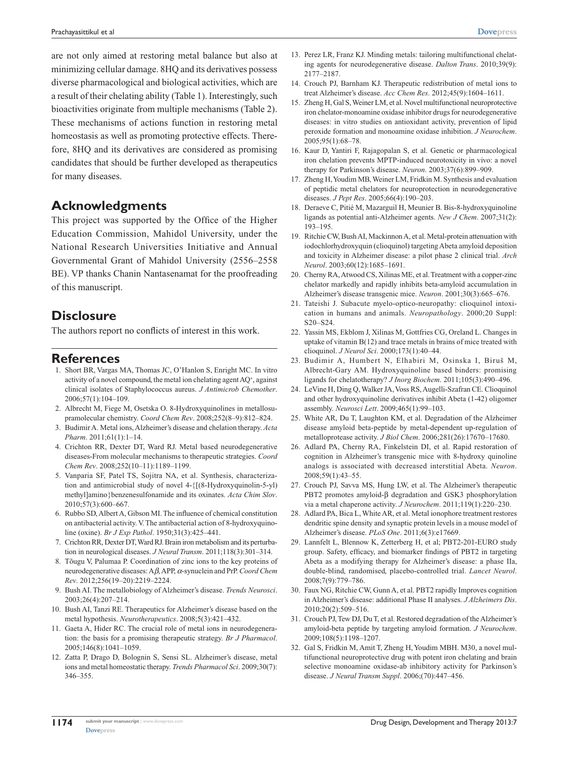are not only aimed at restoring metal balance but also at minimizing cellular damage. 8HQ and its derivatives possess diverse pharmacological and biological activities, which are a result of their chelating ability (Table 1). Interestingly, such bioactivities originate from multiple mechanisms (Table 2). These mechanisms of actions function in restoring metal homeostasis as well as promoting protective effects. Therefore, 8HQ and its derivatives are considered as promising candidates that should be further developed as therapeutics for many diseases.

# **Acknowledgments**

This project was supported by the Office of the Higher Education Commission, Mahidol University, under the National Research Universities Initiative and Annual Governmental Grant of Mahidol University (2556–2558 BE). VP thanks Chanin Nantasenamat for the proofreading of this manuscript.

# **Disclosure**

The authors report no conflicts of interest in this work.

# **References**

- 1. Short BR, Vargas MA, Thomas JC, O'Hanlon S, Enright MC. In vitro activity of a novel compound, the metal ion chelating agent AQ<sup>+</sup>, against clinical isolates of Staphylococcus aureus. *J Antimicrob Chemother*. 2006;57(1):104–109.
- 2. Albrecht M, Fiege M, Osetska O. 8-Hydroxyquinolines in metallosupramolecular chemistry. *Coord Chem Rev*. 2008;252(8–9):812–824.
- 3. Budimir A. Metal ions, Alzheimer's disease and chelation therapy. *Acta Pharm*. 2011;61(1):1–14.
- 4. Crichton RR, Dexter DT, Ward RJ. Metal based neurodegenerative diseases-From molecular mechanisms to therapeutic strategies. *Coord Chem Rev*. 2008;252(10–11):1189–1199.
- 5. Vanparia SF, Patel TS, Sojitra NA, et al. Synthesis, characterization and antimicrobial study of novel 4-{[(8-Hydroxyquinolin-5-yl) methyl]amino}benzenesulfonamide and its oxinates. *Acta Chim Slov*. 2010;57(3):600–667.
- 6. Rubbo SD, Albert A, Gibson MI. The influence of chemical constitution on antibacterial activity. V. The antibacterial action of 8-hydroxyquinoline (oxine). *Br J Exp Pathol*. 1950;31(3):425–441.
- 7. Crichton RR, Dexter DT, Ward RJ. Brain iron metabolism and its perturbation in neurological diseases. *J Neural Transm*. 2011;118(3):301–314.
- 8. Tõugu V, Palumaa P. Coordination of zinc ions to the key proteins of neurodegenerative diseases: A*β*, APP, *α*-synuclein and PrP. *Coord Chem Rev*. 2012;256(19–20):2219–2224.
- 9. Bush AI. The metallobiology of Alzheimer's disease. *Trends Neurosci*. 2003;26(4):207–214.
- 10. Bush AI, Tanzi RE. Therapeutics for Alzheimer's disease based on the metal hypothesis. *Neurotherapeutics*. 2008;5(3):421–432.
- 11. Gaeta A, Hider RC. The crucial role of metal ions in neurodegeneration: the basis for a promising therapeutic strategy. *Br J Pharmacol*. 2005;146(8):1041–1059.
- 12. Zatta P, Drago D, Bolognin S, Sensi SL. Alzheimer's disease, metal ions and metal homeostatic therapy. *Trends Pharmacol Sci*. 2009;30(7): 346–355.
- 13. Perez LR, Franz KJ. Minding metals: tailoring multifunctional chelating agents for neurodegenerative disease. *Dalton Trans*. 2010;39(9): 2177–2187.
- 14. Crouch PJ, Barnham KJ. Therapeutic redistribution of metal ions to treat Alzheimer's disease. *Acc Chem Res*. 2012;45(9):1604–1611.
- 15. Zheng H, Gal S, Weiner LM, et al. Novel multifunctional neuroprotective iron chelator-monoamine oxidase inhibitor drugs for neurodegenerative diseases: in vitro studies on antioxidant activity, prevention of lipid peroxide formation and monoamine oxidase inhibition. *J Neurochem*. 2005;95(1):68–78.
- 16. Kaur D, Yantiri F, Rajagopalan S, et al. Genetic or pharmacological iron chelation prevents MPTP-induced neurotoxicity in vivo: a novel therapy for Parkinson's disease. *Neuron*. 2003;37(6):899–909.
- 17. Zheng H, Youdim MB, Weiner LM, Fridkin M. Synthesis and evaluation of peptidic metal chelators for neuroprotection in neurodegenerative diseases. *J Pept Res*. 2005;66(4):190–203.
- 18. Deraeve C, Pitié M, Mazarguil H, Meunier B. Bis-8-hydroxyquinoline ligands as potential anti-Alzheimer agents. *New J Chem*. 2007;31(2): 193–195.
- 19. Ritchie CW, Bush AI, Mackinnon A, et al. Metal-protein attenuation with iodochlorhydroxyquin (clioquinol) targeting Abeta amyloid deposition and toxicity in Alzheimer disease: a pilot phase 2 clinical trial. *Arch Neurol*. 2003;60(12):1685–1691.
- 20. Cherny RA, Atwood CS, Xilinas ME, et al. Treatment with a copper-zinc chelator markedly and rapidly inhibits beta-amyloid accumulation in Alzheimer's disease transgenic mice. *Neuron*. 2001;30(3):665–676.
- 21. Tateishi J. Subacute myelo-optico-neuropathy: clioquinol intoxication in humans and animals. *Neuropathology*. 2000;20 Suppl: S20–S24.
- 22. Yassin MS, Ekblom J, Xilinas M, Gottfries CG, Oreland L. Changes in uptake of vitamin  $B(12)$  and trace metals in brains of mice treated with clioquinol. *J Neurol Sci*. 2000;173(1):40–44.
- 23. Budimir A, Humbert N, Elhabiri M, Osinska I, Biruš M, Albrecht-Gary AM. Hydroxyquinoline based binders: promising ligands for chelatotherapy? *J Inorg Biochem*. 2011;105(3):490–496.
- 24. LeVine H, Ding Q, Walker JA, Voss RS, Augelli-Szafran CE. Clioquinol and other hydroxyquinoline derivatives inhibit Abeta (1-42) oligomer assembly. *Neurosci Lett*. 2009;465(1):99–103.
- 25. White AR, Du T, Laughton KM, et al. Degradation of the Alzheimer disease amyloid beta-peptide by metal-dependent up-regulation of metalloprotease activity. *J Biol Chem*. 2006;281(26):17670–17680.
- 26. Adlard PA, Cherny RA, Finkelstein DI, et al. Rapid restoration of cognition in Alzheimer's transgenic mice with 8-hydroxy quinoline analogs is associated with decreased interstitial Abeta. *Neuron*. 2008;59(1):43–55.
- 27. Crouch PJ, Savva MS, Hung LW, et al. The Alzheimer's therapeutic PBT2 promotes amyloid-β degradation and GSK3 phosphorylation via a metal chaperone activity. *J Neurochem*. 2011;119(1):220–230.
- 28. Adlard PA, Bica L, White AR, et al. Metal ionophore treatment restores dendritic spine density and synaptic protein levels in a mouse model of Alzheimer's disease. *PLoS One*. 2011;6(3):e17669.
- 29. Lannfelt L, Blennow K, Zetterberg H, et al; PBT2-201-EURO study group. Safety, efficacy, and biomarker findings of PBT2 in targeting Abeta as a modifying therapy for Alzheimer's disease: a phase IIa, double-blind, randomised, placebo-controlled trial. *Lancet Neurol*. 2008;7(9):779–786.
- 30. Faux NG, Ritchie CW, Gunn A, et al. PBT2 rapidly Improves cognition in Alzheimer's disease: additional Phase II analyses. *J Alzheimers Dis*. 2010;20(2):509–516.
- 31. Crouch PJ, Tew DJ, Du T, et al. Restored degradation of the Alzheimer's amyloid-beta peptide by targeting amyloid formation. *J Neurochem*. 2009;108(5):1198–1207.
- 32. Gal S, Fridkin M, Amit T, Zheng H, Youdim MBH. M30, a novel multifunctional neuroprotective drug with potent iron chelating and brain selective monoamine oxidase-ab inhibitory activity for Parkinson's disease. *J Neural Transm Suppl*. 2006;(70):447–456.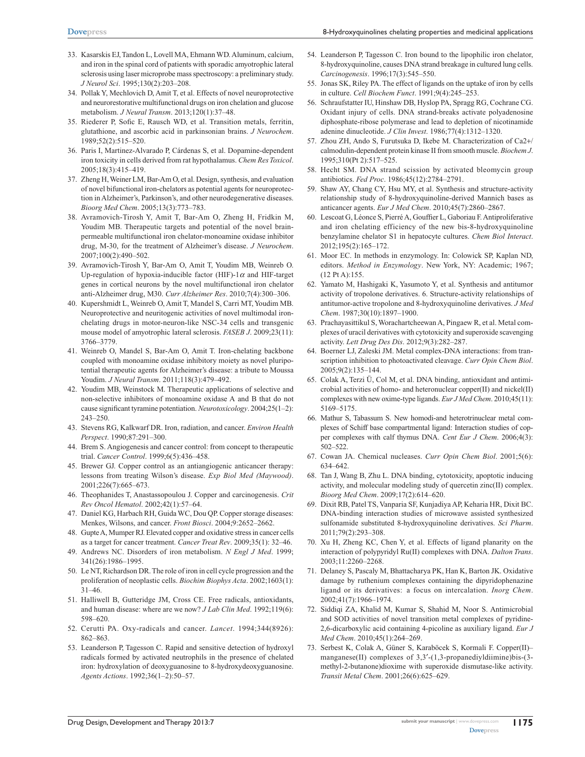- 33. Kasarskis EJ, Tandon L, Lovell MA, Ehmann WD. Aluminum, calcium, and iron in the spinal cord of patients with sporadic amyotrophic lateral sclerosis using laser microprobe mass spectroscopy: a preliminary study. *J Neurol Sci*. 1995;130(2):203–208.
- 34. Pollak Y, Mechlovich D, Amit T, et al. Effects of novel neuroprotective and neurorestorative multifunctional drugs on iron chelation and glucose metabolism. *J Neural Transm*. 2013;120(1):37–48.
- 35. Riederer P, Sofic E, Rausch WD, et al. Transition metals, ferritin, glutathione, and ascorbic acid in parkinsonian brains. *J Neurochem*. 1989;52(2):515–520.
- 36. Paris I, Martinez-Alvarado P, Cárdenas S, et al. Dopamine-dependent iron toxicity in cells derived from rat hypothalamus. *Chem Res Toxicol*. 2005;18(3):415–419.
- 37. Zheng H, Weiner LM, Bar-Am O, et al. Design, synthesis, and evaluation of novel bifunctional iron-chelators as potential agents for neuroprotection in Alzheimer's, Parkinson's, and other neurodegenerative diseases. *Bioorg Med Chem*. 2005;13(3):773–783.
- 38. Avramovich-Tirosh Y, Amit T, Bar-Am O, Zheng H, Fridkin M, Youdim MB. Therapeutic targets and potential of the novel brainpermeable multifunctional iron chelator-monoamine oxidase inhibitor drug, M-30, for the treatment of Alzheimer's disease. *J Neurochem*.  $2007:100(2):490-502$ .
- 39. Avramovich-Tirosh Y, Bar-Am O, Amit T, Youdim MB, Weinreb O. Up-regulation of hypoxia-inducible factor (HIF)-1*α* and HIF-target genes in cortical neurons by the novel multifunctional iron chelator anti-Alzheimer drug, M30. *Curr Alzheimer Res*. 2010;7(4):300–306.
- 40. Kupershmidt L, Weinreb O, Amit T, Mandel S, Carri MT, Youdim MB. Neuroprotective and neuritogenic activities of novel multimodal ironchelating drugs in motor-neuron-like NSC-34 cells and transgenic mouse model of amyotrophic lateral sclerosis. *FASEB J*. 2009;23(11): 3766–3779.
- 41. Weinreb O, Mandel S, Bar-Am O, Amit T. Iron-chelating backbone coupled with monoamine oxidase inhibitory moiety as novel pluripotential therapeutic agents for Alzheimer's disease: a tribute to Moussa Youdim. *J Neural Transm*. 2011;118(3):479–492.
- 42. Youdim MB, Weinstock M. Therapeutic applications of selective and non-selective inhibitors of monoamine oxidase A and B that do not cause significant tyramine potentiation. *Neurotoxicology*. 2004;25(1–2): 243–250.
- 43. Stevens RG, Kalkwarf DR. Iron, radiation, and cancer. *Environ Health Perspect*. 1990;87:291–300.
- 44. Brem S. Angiogenesis and cancer control: from concept to therapeutic trial. *Cancer Control*. 1999;6(5):436–458.
- 45. Brewer GJ. Copper control as an antiangiogenic anticancer therapy: lessons from treating Wilson's disease. *Exp Biol Med (Maywood)*. 2001;226(7):665–673.
- 46. Theophanides T, Anastassopoulou J. Copper and carcinogenesis. *Crit Rev Oncol Hematol*. 2002;42(1):57–64.
- 47. Daniel KG, Harbach RH, Guida WC, Dou QP. Copper storage diseases: Menkes, Wilsons, and cancer. *Front Biosci*. 2004;9:2652–2662.
- 48. Gupte A, Mumper RJ. Elevated copper and oxidative stress in cancer cells as a target for cancer treatment. *Cancer Treat Rev*. 2009;35(1): 32–46.
- 49. Andrews NC. Disorders of iron metabolism. *N Engl J Med*. 1999; 341(26):1986–1995.
- 50. Le NT, Richardson DR. The role of iron in cell cycle progression and the proliferation of neoplastic cells. *Biochim Biophys Acta*. 2002;1603(1): 31–46.
- 51. Halliwell B, Gutteridge JM, Cross CE. Free radicals, antioxidants, and human disease: where are we now? *J Lab Clin Med*. 1992;119(6): 598–620.
- 52. Cerutti PA. Oxy-radicals and cancer. *Lancet*. 1994;344(8926): 862–863.
- 53. Leanderson P, Tagesson C. Rapid and sensitive detection of hydroxyl radicals formed by activated neutrophils in the presence of chelated iron: hydroxylation of deoxyguanosine to 8-hydroxydeoxyguanosine. *Agents Actions*. 1992;36(1–2):50–57.
- 54. Leanderson P, Tagesson C. Iron bound to the lipophilic iron chelator, 8-hydroxyquinoline, causes DNA strand breakage in cultured lung cells. *Carcinogenesis*. 1996;17(3):545–550.
- 55. Jonas SK, Riley PA. The effect of ligands on the uptake of iron by cells in culture. *Cell Biochem Funct*. 1991;9(4):245–253.
- 56. Schraufstatter IU, Hinshaw DB, Hyslop PA, Spragg RG, Cochrane CG. Oxidant injury of cells. DNA strand-breaks activate polyadenosine diphosphate-ribose polymerase and lead to depletion of nicotinamide adenine dinucleotide. *J Clin Invest*. 1986;77(4):1312–1320.
- 57. Zhou ZH, Ando S, Furutsuka D, Ikebe M. Characterization of Ca2+/ calmodulin-dependent protein kinase II from smooth muscle. *Biochem J*. 1995;310(Pt 2):517–525.
- 58. Hecht SM. DNA strand scission by activated bleomycin group antibiotics. *Fed Proc*. 1986;45(12):2784–2791.
- 59. Shaw AY, Chang CY, Hsu MY, et al. Synthesis and structure-activity relationship study of 8-hydroxyquinoline-derived Mannich bases as anticancer agents. *Eur J Med Chem*. 2010;45(7):2860–2867.
- 60. Lescoat G, Léonce S, Pierré A, Gouffier L, Gaboriau F. Antiproliferative and iron chelating efficiency of the new bis-8-hydroxyquinoline benzylamine chelator S1 in hepatocyte cultures. *Chem Biol Interact*. 2012;195(2):165–172.
- 61. Moor EC. In methods in enzymology. In: Colowick SP, Kaplan ND, editors. *Method in Enzymology*. New York, NY: Academic; 1967; (12 Pt A):155.
- 62. Yamato M, Hashigaki K, Yasumoto Y, et al. Synthesis and antitumor activity of tropolone derivatives. 6. Structure-activity relationships of antitumor-active tropolone and 8-hydroxyquinoline derivatives. *J Med Chem*. 1987;30(10):1897–1900.
- 63. Prachayasittikul S, Worachartcheewan A, Pingaew R, et al. Metal complexes of uracil derivatives with cytotoxicity and superoxide scavenging activity. *Lett Drug Des Dis*. 2012;9(3):282–287.
- 64. Boerner LJ, Zaleski JM. Metal complex-DNA interactions: from transcription inhibition to photoactivated cleavage. *Curr Opin Chem Biol*. 2005;9(2):135–144.
- 65. Colak A, Terzi Ü, Col M, et al. DNA binding, antioxidant and antimicrobial activities of homo- and heteronuclear copper(II) and nickel(II) complexes with new oxime-type ligands. *Eur J Med Chem*. 2010;45(11): 5169–5175.
- 66. Mathur S, Tabassum S. New homodi-and heterotrinuclear metal complexes of Schiff base compartmental ligand: Interaction studies of copper complexes with calf thymus DNA. *Cent Eur J Chem*. 2006;4(3): 502–522.
- 67. Cowan JA. Chemical nucleases. *Curr Opin Chem Biol*. 2001;5(6): 634–642.
- 68. Tan J, Wang B, Zhu L. DNA binding, cytotoxicity, apoptotic inducing activity, and molecular modeling study of quercetin zinc(II) complex. *Bioorg Med Chem*. 2009;17(2):614–620.
- 69. Dixit RB, Patel TS, Vanparia SF, Kunjadiya AP, Keharia HR, Dixit BC. DNA-binding interaction studies of microwave assisted synthesized sulfonamide substituted 8-hydroxyquinoline derivatives. *Sci Pharm*. 2011;79(2):293–308.
- 70. Xu H, Zheng KC, Chen Y, et al. Effects of ligand planarity on the interaction of polypyridyl Ru(II) complexes with DNA. *Dalton Trans*. 2003;11:2260–2268.
- 71. Delaney S, Pascaly M, Bhattacharya PK, Han K, Barton JK. Oxidative damage by ruthenium complexes containing the dipyridophenazine ligand or its derivatives: a focus on intercalation. *Inorg Chem*. 2002;41(7):1966–1974.
- 72. Siddiqi ZA, Khalid M, Kumar S, Shahid M, Noor S. Antimicrobial and SOD activities of novel transition metal complexes of pyridine-2,6-dicarboxylic acid containing 4-picoline as auxiliary ligand. *Eur J Med Chem*. 2010;45(1):264–269.
- 73. Serbest K, Colak A, Güner S, Karaböcek S, Kormali F. Copper(II)– manganese(II) complexes of 3,3'-(1,3-propanediyldiimine)bis-(3methyl-2-butanone)dioxime with superoxide dismutase-like activity. *Transit Metal Chem*. 2001;26(6):625–629.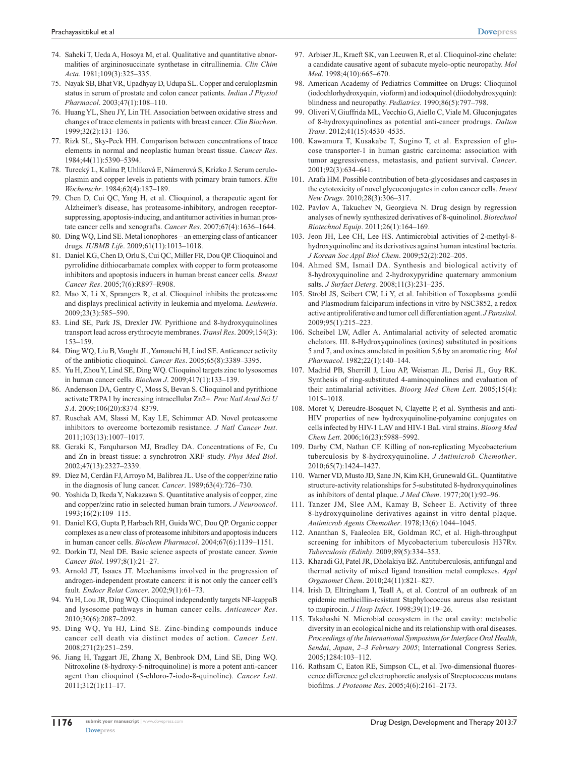- 74. Saheki T, Ueda A, Hosoya M, et al. Qualitative and quantitative abnormalities of argininosuccinate synthetase in citrullinemia. *Clin Chim Acta*. 1981;109(3):325–335.
- 75. Nayak SB, Bhat VR, Upadhyay D, Udupa SL. Copper and ceruloplasmin status in serum of prostate and colon cancer patients. *Indian J Physiol Pharmacol*. 2003;47(1):108–110.
- 76. Huang YL, Sheu JY, Lin TH. Association between oxidative stress and changes of trace elements in patients with breast cancer. *Clin Biochem*. 1999;32(2):131–136.
- 77. Rizk SL, Sky-Peck HH. Comparison between concentrations of trace elements in normal and neoplastic human breast tissue. *Cancer Res*. 1984;44(11):5390–5394.
- 78. Turecký L, Kalina P, Uhliková E, Námerová S, Krizko J. Serum ceruloplasmin and copper levels in patients with primary brain tumors. *Klin Wochenschr*. 1984;62(4):187–189.
- 79. Chen D, Cui QC, Yang H, et al. Clioquinol, a therapeutic agent for Alzheimer's disease, has proteasome-inhibitory, androgen receptorsuppressing, apoptosis-inducing, and antitumor activities in human prostate cancer cells and xenografts. *Cancer Res*. 2007;67(4):1636–1644.
- 80. Ding WQ, Lind SE. Metal ionophores an emerging class of anticancer drugs. *IUBMB Life*. 2009;61(11):1013–1018.
- 81. Daniel KG, Chen D, Orlu S, Cui QC, Miller FR, Dou QP. Clioquinol and pyrrolidine dithiocarbamate complex with copper to form proteasome inhibitors and apoptosis inducers in human breast cancer cells. *Breast Cancer Res*. 2005;7(6):R897–R908.
- 82. Mao X, Li X, Sprangers R, et al. Clioquinol inhibits the proteasome and displays preclinical activity in leukemia and myeloma. *Leukemia*. 2009;23(3):585–590.
- 83. Lind SE, Park JS, Drexler JW. Pyrithione and 8-hydroxyquinolines transport lead across erythrocyte membranes. *Transl Res*. 2009;154(3): 153–159.
- 84. Ding WQ, Liu B, Vaught JL, Yamauchi H, Lind SE. Anticancer activity of the antibiotic clioquinol. *Cancer Res*. 2005;65(8):3389–3395.
- 85. Yu H, Zhou Y, Lind SE, Ding WQ. Clioquinol targets zinc to lysosomes in human cancer cells. *Biochem J*. 2009;417(1):133–139.
- 86. Andersson DA, Gentry C, Moss S, Bevan S. Clioquinol and pyrithione activate TRPA1 by increasing intracellular Zn2+. *Proc Natl Acad Sci U S A*. 2009;106(20):8374–8379.
- 87. Ruschak AM, Slassi M, Kay LE, Schimmer AD. Novel proteasome inhibitors to overcome bortezomib resistance. *J Natl Cancer Inst*. 2011;103(13):1007–1017.
- 88. Geraki K, Farquharson MJ, Bradley DA. Concentrations of Fe, Cu and Zn in breast tissue: a synchrotron XRF study. *Phys Med Biol*. 2002;47(13):2327–2339.
- 89. Dìez M, Cerdàn FJ, Arroyo M, Balibrea JL. Use of the copper/zinc ratio in the diagnosis of lung cancer. *Cancer*. 1989;63(4):726–730.
- 90. Yoshida D, Ikeda Y, Nakazawa S. Quantitative analysis of copper, zinc and copper/zinc ratio in selected human brain tumors. *J Neurooncol*. 1993;16(2):109–115.
- 91. Daniel KG, Gupta P, Harbach RH, Guida WC, Dou QP. Organic copper complexes as a new class of proteasome inhibitors and apoptosis inducers in human cancer cells. *Biochem Pharmacol*. 2004;67(6):1139–1151.
- 92. Dorkin TJ, Neal DE. Basic science aspects of prostate cancer. *Semin Cancer Biol*. 1997;8(1):21–27.
- 93. Arnold JT, Isaacs JT. Mechanisms involved in the progression of androgen-independent prostate cancers: it is not only the cancer cell's fault. *Endocr Relat Cancer*. 2002;9(1):61–73.
- 94. Yu H, Lou JR, Ding WQ. Clioquinol independently targets NF-kappaB and lysosome pathways in human cancer cells. *Anticancer Res*. 2010;30(6):2087–2092.
- 95. Ding WQ, Yu HJ, Lind SE. Zinc-binding compounds induce cancer cell death via distinct modes of action. *Cancer Lett*. 2008;271(2):251–259.
- 96. Jiang H, Taggart JE, Zhang X, Benbrook DM, Lind SE, Ding WQ. Nitroxoline (8-hydroxy-5-nitroquinoline) is more a potent anti-cancer agent than clioquinol (5-chloro-7-iodo-8-quinoline). *Cancer Lett*. 2011;312(1):11–17.
- 97. Arbiser JL, Kraeft SK, van Leeuwen R, et al. Clioquinol-zinc chelate: a candidate causative agent of subacute myelo-optic neuropathy. *Mol Med*. 1998;4(10):665–670.
- 98. American Academy of Pediatrics Committee on Drugs: Clioquinol (iodochlorhydroxyquin, vioform) and iodoquinol (diiodohydroxyquin): blindness and neuropathy. *Pediatrics*. 1990;86(5):797–798.
- 99. Oliveri V, Giuffrida ML, Vecchio G, Aiello C, Viale M. Gluconjugates of 8-hydroxyquinolines as potential anti-cancer prodrugs. *Dalton Trans*. 2012;41(15):4530–4535.
- 100. Kawamura T, Kusakabe T, Sugino T, et al. Expression of glucose transporter-1 in human gastric carcinoma: association with tumor aggressiveness, metastasis, and patient survival. *Cancer*. 2001;92(3):634–641.
- 101. Arafa HM. Possible contribution of beta-glycosidases and caspases in the cytotoxicity of novel glycoconjugates in colon cancer cells. *Invest New Drugs*. 2010;28(3):306–317.
- 102. Pavlov A, Takuchev N, Georgieva N. Drug design by regression analyses of newly synthesized derivatives of 8-quinolinol. *Biotechnol Biotechnol Equip*. 2011;26(1):164–169.
- 103. Jeon JH, Lee CH, Lee HS. Antimicrobial activities of 2-methyl-8 hydroxyquinoline and its derivatives against human intestinal bacteria. *J Korean Soc Appl Biol Chem*. 2009;52(2):202–205.
- 104. Ahmed SM, Ismail DA. Synthesis and biological activity of 8-hydroxyquinoline and 2-hydroxypyridine quaternary ammonium salts. *J Surfact Deterg*. 2008;11(3):231–235.
- 105. Strobl JS, Seibert CW, Li Y, et al. Inhibition of Toxoplasma gondii and Plasmodium falciparum infections in vitro by NSC3852, a redox active antiproliferative and tumor cell differentiation agent. *J Parasitol*. 2009;95(1):215–223.
- 106. Scheibel LW, Adler A. Antimalarial activity of selected aromatic chelators. III. 8-Hydroxyquinolines (oxines) substituted in positions 5 and 7, and oxines annelated in position 5,6 by an aromatic ring. *Mol Pharmacol*. 1982;22(1):140–144.
- 107. Madrid PB, Sherrill J, Liou AP, Weisman JL, Derisi JL, Guy RK. Synthesis of ring-substituted 4-aminoquinolines and evaluation of their antimalarial activities. *Bioorg Med Chem Lett*. 2005;15(4): 1015–1018.
- 108. Moret V, Dereudre-Bosquet N, Clayette P, et al. Synthesis and anti-HIV properties of new hydroxyquinoline-polyamine conjugates on cells infected by HIV-1 LAV and HIV-1 BaL viral strains. *Bioorg Med Chem Lett*. 2006;16(23):5988–5992.
- 109. Darby CM, Nathan CF. Killing of non-replicating Mycobacterium tuberculosis by 8-hydroxyquinoline. *J Antimicrob Chemother*. 2010;65(7):1424–1427.
- 110. Warner VD, Musto JD, Sane JN, Kim KH, Grunewald GL. Quantitative structure-activity relationships for 5-substituted 8-hydroxyquinolines as inhibitors of dental plaque. *J Med Chem*. 1977;20(1):92–96.
- 111. Tanzer JM, Slee AM, Kamay B, Scheer E. Activity of three 8-hydroxyquinoline derivatives against in vitro dental plaque. *Antimicrob Agents Chemother*. 1978;13(6):1044–1045.
- 112. Ananthan S, Faaleolea ER, Goldman RC, et al. High-throughput screening for inhibitors of Mycobacterium tuberculosis H37Rv. *Tuberculosis (Edinb)*. 2009;89(5):334–353.
- 113. Kharadi GJ, Patel JR, Dholakiya BZ. Antituberculosis, antifungal and thermal activity of mixed ligand transition metal complexes. *Appl Organomet Chem*. 2010;24(11):821–827.
- 114. Irish D, Eltringham I, Teall A, et al. Control of an outbreak of an epidemic methicillin-resistant Staphylococcus aureus also resistant to mupirocin. *J Hosp Infect*. 1998;39(1):19–26.
- 115. Takahashi N. Microbial ecosystem in the oral cavity: metabolic diversity in an ecological niche and its relationship with oral diseases. *Proceedings of the International Symposium for Interface Oral Health*, *Sendai*, *Japan*, *2–3 February 2005*; International Congress Series. 2005;1284:103–112.
- 116. Rathsam C, Eaton RE, Simpson CL, et al. Two-dimensional fluorescence difference gel electrophoretic analysis of Streptococcus mutans biofilms. *J Proteome Res*. 2005;4(6):2161–2173.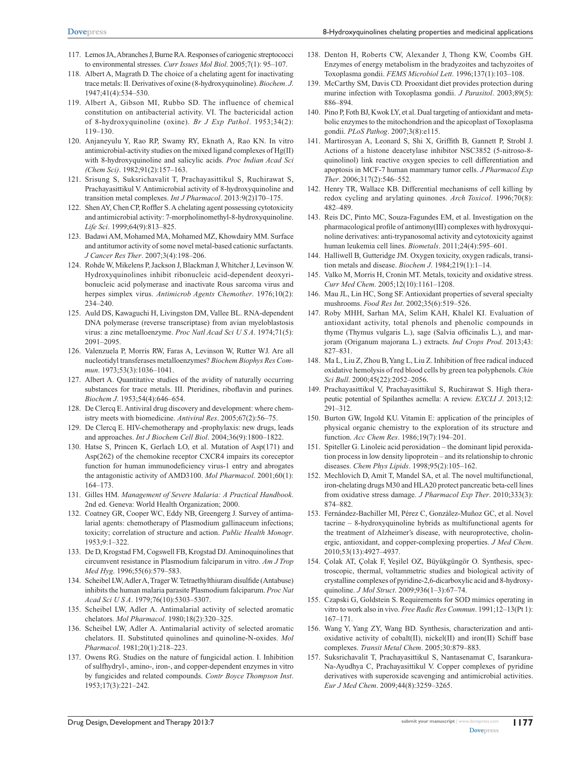- 117. Lemos JA, Abranches J, Burne RA. Responses of cariogenic streptococci to environmental stresses. *Curr Issues Mol Biol*. 2005;7(1): 95–107.
- 118. Albert A, Magrath D. The choice of a chelating agent for inactivating trace metals: II. Derivatives of oxine (8-hydroxyquinoline). *Biochem*. *J*. 1947;41(4):534–530.
- 119. Albert A, Gibson MI, Rubbo SD. The influence of chemical constitution on antibacterial activity. VI. The bactericidal action of 8-hydroxyquinoline (oxine). *Br J Exp Pathol*. 1953;34(2): 119–130.
- 120. Anjaneyulu Y, Rao RP, Swamy RY, Eknath A, Rao KN. In vitro antimicrobial-activity studies on the mixed ligand complexes of Hg(II) with 8-hydroxyquinoline and salicylic acids. *Proc Indian Acad Sci (Chem Sci)*. 1982;91(2):157–163.
- 121. Srisung S, Suksrichavalit T, Prachayasittikul S, Ruchirawat S, Prachayasittikul V. Antimicrobial activity of 8-hydroxyquinoline and transition metal complexes. *Int J Pharmacol*. 2013:9(2)170–175.
- 122. Shen AY, Chen CP, Roffler S. A chelating agent possessing cytotoxicity and antimicrobial activity: 7-morpholinomethyl-8-hydroxyquinoline. *Life Sci*. 1999;64(9):813–825.
- 123. Badawi AM, Mohamed MA, Mohamed MZ, Khowdairy MM. Surface and antitumor activity of some novel metal-based cationic surfactants. *J Cancer Res Ther*. 2007;3(4):198–206.
- 124. Rohde W, Mikelens P, Jackson J, Blackman J, Whitcher J, Levinson W. Hydroxyquinolines inhibit ribonucleic acid-dependent deoxyribonucleic acid polymerase and inactivate Rous sarcoma virus and herpes simplex virus. *Antimicrob Agents Chemother*. 1976;10(2): 234–240.
- 125. Auld DS, Kawaguchi H, Livingston DM, Vallee BL. RNA-dependent DNA polymerase (reverse transcriptase) from avian myeloblastosis virus: a zinc metalloenzyme. *Proc Natl Acad Sci U S A*. 1974;71(5): 2091–2095.
- 126. Valenzuela P, Morris RW, Faras A, Levinson W, Rutter WJ. Are all nucleotidyl transferases metalloenzymes? *Biochem Biophys Res Commun*. 1973;53(3):1036–1041.
- 127. Albert A. Quantitative studies of the avidity of naturally occurring substances for trace metals. III. Pteridines, riboflavin and purines. *Biochem J*. 1953;54(4):646–654.
- 128. De Clercq E. Antiviral drug discovery and development: where chemistry meets with biomedicine. *Antiviral Res*. 2005;67(2):56–75.
- 129. De Clercq E. HIV-chemotherapy and -prophylaxis: new drugs, leads and approaches. *Int J Biochem Cell Biol*. 2004;36(9):1800–1822.
- 130. Hatse S, Princen K, Gerlach LO, et al. Mutation of Asp(171) and Asp(262) of the chemokine receptor CXCR4 impairs its coreceptor function for human immunodeficiency virus-1 entry and abrogates the antagonistic activity of AMD3100. *Mol Pharmacol*. 2001;60(1): 164–173.
- 131. Gilles HM. *Management of Severe Malaria: A Practical Handbook*. 2nd ed. Geneva: World Health Organization; 2000.
- 132. Coatney GR, Cooper WC, Eddy NB, Greengerg J. Survey of antimalarial agents: chemotherapy of Plasmodium gallinaceum infections; toxicity; correlation of structure and action. *Public Health Monogr*. 1953;9:1–322.
- 133. De D, Krogstad FM, Cogswell FB, Krogstad DJ. Aminoquinolines that circumvent resistance in Plasmodium falciparum in vitro. *Am J Trop Med Hyg*. 1996;55(6):579–583.
- 134. Scheibel LW, Adler A, Trager W. Tetraethylthiuram disulfide (Antabuse) inhibits the human malaria parasite Plasmodium falciparum. *Proc Nat Acad Sci U S A*. 1979;76(10):5303–5307.
- 135. Scheibel LW, Adler A. Antimalarial activity of selected aromatic chelators. *Mol Pharmacol*. 1980;18(2):320–325.
- 136. Scheibel LW, Adler A. Antimalarial activity of selected aromatic chelators. II. Substituted quinolines and quinoline-N-oxides. *Mol Pharmacol*. 1981;20(1):218–223.
- 137. Owens RG. Studies on the nature of fungicidal action. I. Inhibition of sulfhydryl-, amino-, iron-, and copper-dependent enzymes in vitro by fungicides and related compounds. *Contr Boyce Thompson Inst*. 1953;17(3):221–242.
- 138. Denton H, Roberts CW, Alexander J, Thong KW, Coombs GH. Enzymes of energy metabolism in the bradyzoites and tachyzoites of Toxoplasma gondii. *FEMS Microbiol Lett*. 1996;137(1):103–108.
- 139. McCarthy SM, Davis CD. Prooxidant diet provides protection during murine infection with Toxoplasma gondii. *J Parasitol*. 2003;89(5): 886–894.
- 140. Pino P, Foth BJ, Kwok LY, et al. Dual targeting of antioxidant and metabolic enzymes to the mitochondrion and the apicoplast of Toxoplasma gondii. *PLoS Pathog*. 2007;3(8):e115.
- 141. Martirosyan A, Leonard S, Shi X, Griffith B, Gannett P, Strobl J. Actions of a histone deacetylase inhibitor NSC3852 (5-nitroso-8 quinolinol) link reactive oxygen species to cell differentiation and apoptosis in MCF-7 human mammary tumor cells. *J Pharmacol Exp Ther*. 2006;317(2):546–552.
- 142. Henry TR, Wallace KB. Differential mechanisms of cell killing by redox cycling and arylating quinones. *Arch Toxicol*. 1996;70(8): 482–489.
- 143. Reis DC, Pinto MC, Souza-Fagundes EM, et al. Investigation on the pharmacological profile of antimony(III) complexes with hydroxyquinoline derivatives: anti-trypanosomal activity and cytotoxicity against human leukemia cell lines. *Biometals*. 2011;24(4):595–601.
- 144. Halliwell B, Gutteridge JM. Oxygen toxicity, oxygen radicals, transition metals and disease. *Biochem J*. 1984;219(1):1–14.
- 145. Valko M, Morris H, Cronin MT. Metals, toxicity and oxidative stress. *Curr Med Chem*. 2005;12(10):1161–1208.
- 146. Mau JL, Lin HC, Song SF. Antioxidant properties of several specialty mushrooms. *Food Res Int*. 2002;35(6):519–526.
- 147. Roby MHH, Sarhan MA, Selim KAH, Khalel KI. Evaluation of antioxidant activity, total phenols and phenolic compounds in thyme (Thymus vulgaris L.), sage (Salvia officinalis L.), and marjoram (Origanum majorana L.) extracts. *Ind Crops Prod*. 2013;43: 827–831.
- 148. Ma L, Liu Z, Zhou B, Yang L, Liu Z. Inhibition of free radical induced oxidative hemolysis of red blood cells by green tea polyphenols. *Chin Sci Bull*. 2000;45(22):2052–2056.
- 149. Prachayasittikul V, Prachayasittikul S, Ruchirawat S. High therapeutic potential of Spilanthes acmella: A review. *EXCLI J*. 2013;12: 291–312.
- 150. Burton GW, Ingold KU. Vitamin E: application of the principles of physical organic chemistry to the exploration of its structure and function. *Acc Chem Res*. 1986;19(7):194–201.
- 151. Spiteller G. Linoleic acid peroxidation the dominant lipid peroxidation process in low density lipoprotein – and its relationship to chronic diseases. *Chem Phys Lipids*. 1998;95(2):105–162.
- 152. Mechlovich D, Amit T, Mandel SA, et al. The novel multifunctional, iron-chelating drugs M30 and HLA20 protect pancreatic beta-cell lines from oxidative stress damage. *J Pharmacol Exp Ther*. 2010;333(3): 874–882.
- 153. Fernández-Bachiller MI, Pérez C, González-Muñoz GC, et al. Novel tacrine – 8-hydroxyquinoline hybrids as multifunctional agents for the treatment of Alzheimer's disease, with neuroprotective, cholinergic, antioxidant, and copper-complexing properties. *J Med Chem*. 2010;53(13):4927–4937.
- 154. Çolak AT, Çolak F, Yeşilel OZ, Büyükgüngör O. Synthesis, spectroscopic, thermal, voltammetric studies and biological activity of crystalline complexes of pyridine-2,6-dicarboxylic acid and 8-hydroxyquinoline. *J Mol Struct*. 2009;936(1–3):67–74.
- 155. Czapski G, Goldstein S. Requirements for SOD mimics operating in vitro to work also in vivo. *Free Radic Res Commun*. 1991;12–13(Pt 1): 167–171.
- 156. Wang Y, Yang ZY, Wang BD. Synthesis, characterization and antioxidative activity of cobalt(II), nickel(II) and iron(II) Schiff base complexes. *Transit Metal Chem*. 2005;30:879–883.
- 157. Suksrichavalit T, Prachayasittikul S, Nantasenamat C, Isarankura-Na-Ayudhya C, Prachayasittikul V. Copper complexes of pyridine derivatives with superoxide scavenging and antimicrobial activities. *Eur J Med Chem*. 2009;44(8):3259–3265.